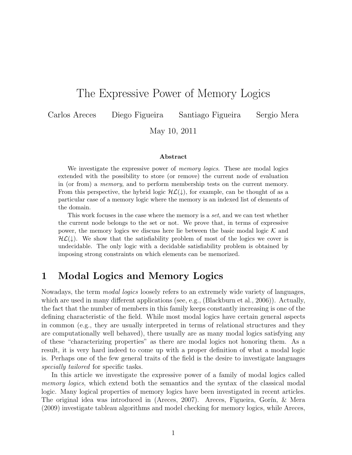# The Expressive Power of Memory Logics

Carlos Areces Diego Figueira Santiago Figueira Sergio Mera

May 10, 2011

#### Abstract

We investigate the expressive power of *memory logics*. These are modal logics extended with the possibility to store (or remove) the current node of evaluation in (or from) a memory, and to perform membership tests on the current memory. From this perspective, the hybrid logic  $H\mathcal{L}(\downarrow)$ , for example, can be thought of as a particular case of a memory logic where the memory is an indexed list of elements of the domain.

This work focuses in the case where the memory is a set, and we can test whether the current node belongs to the set or not. We prove that, in terms of expressive power, the memory logics we discuss here lie between the basic modal logic  $K$  and  $H\mathcal{L}(\downarrow)$ . We show that the satisfiability problem of most of the logics we cover is undecidable. The only logic with a decidable satisfiability problem is obtained by imposing strong constraints on which elements can be memorized.

# 1 Modal Logics and Memory Logics

Nowadays, the term modal logics loosely refers to an extremely wide variety of languages, which are used in many different applications (see, e.g., (Blackburn et al., 2006)). Actually, the fact that the number of members in this family keeps constantly increasing is one of the defining characteristic of the field. While most modal logics have certain general aspects in common (e.g., they are usually interpreted in terms of relational structures and they are computationally well behaved), there usually are as many modal logics satisfying any of these "characterizing properties" as there are modal logics not honoring them. As a result, it is very hard indeed to come up with a proper definition of what a modal logic is. Perhaps one of the few general traits of the field is the desire to investigate languages specially tailored for specific tasks.

In this article we investigate the expressive power of a family of modal logics called memory logics, which extend both the semantics and the syntax of the classical modal logic. Many logical properties of memory logics have been investigated in recent articles. The original idea was introduced in (Areces, 2007). Areces, Figueira, Gorín,  $\&$  Mera (2009) investigate tableau algorithms and model checking for memory logics, while Areces,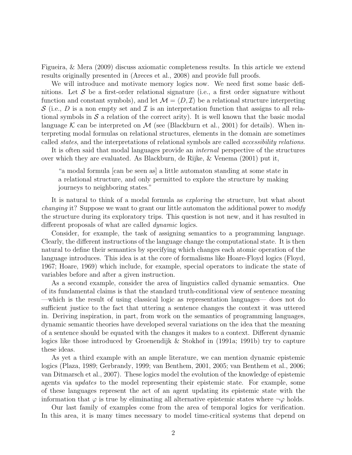Figueira, & Mera (2009) discuss axiomatic completeness results. In this article we extend results originally presented in (Areces et al., 2008) and provide full proofs.

We will introduce and motivate memory logics now. We need first some basic definitions. Let  $S$  be a first-order relational signature (i.e., a first order signature without function and constant symbols), and let  $\mathcal{M} = \langle D, \mathcal{I} \rangle$  be a relational structure interpreting S (i.e., D is a non empty set and T is an interpretation function that assigns to all relational symbols in  $\mathcal S$  a relation of the correct arity). It is well known that the basic modal language K can be interpreted on M (see (Blackburn et al., 2001) for details). When interpreting modal formulas on relational structures, elements in the domain are sometimes called states, and the interpretations of relational symbols are called accessibility relations.

It is often said that modal languages provide an internal perspective of the structures over which they are evaluated. As Blackburn, de Rijke, & Venema (2001) put it,

"a modal formula [can be seen as] a little automaton standing at some state in a relational structure, and only permitted to explore the structure by making journeys to neighboring states."

It is natural to think of a modal formula as *exploring* the structure, but what about changing it? Suppose we want to grant our little automaton the additional power to modify the structure during its exploratory trips. This question is not new, and it has resulted in different proposals of what are called *dynamic* logics.

Consider, for example, the task of assigning semantics to a programming language. Clearly, the different instructions of the language change the computational state. It is then natural to define their semantics by specifying which changes each atomic operation of the language introduces. This idea is at the core of formalisms like Hoare-Floyd logics (Floyd, 1967; Hoare, 1969) which include, for example, special operators to indicate the state of variables before and after a given instruction.

As a second example, consider the area of linguistics called dynamic semantics. One of its fundamental claims is that the standard truth-conditional view of sentence meaning —which is the result of using classical logic as representation languages— does not do sufficient justice to the fact that uttering a sentence changes the context it was uttered in. Deriving inspiration, in part, from work on the semantics of programming languages, dynamic semantic theories have developed several variations on the idea that the meaning of a sentence should be equated with the changes it makes to a context. Different dynamic logics like those introduced by Groenendijk & Stokhof in (1991a; 1991b) try to capture these ideas.

As yet a third example with an ample literature, we can mention dynamic epistemic logics (Plaza, 1989; Gerbrandy, 1999; van Benthem, 2001, 2005; van Benthem et al., 2006; van Ditmarsch et al., 2007). These logics model the evolution of the knowledge of epistemic agents via updates to the model representing their epistemic state. For example, some of these languages represent the act of an agent updating its epistemic state with the information that  $\varphi$  is true by eliminating all alternative epistemic states where  $\neg \varphi$  holds.

Our last family of examples come from the area of temporal logics for verification. In this area, it is many times necessary to model time-critical systems that depend on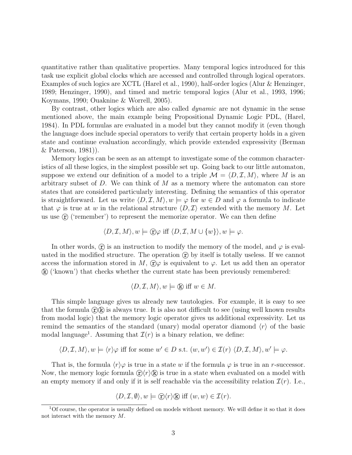quantitative rather than qualitative properties. Many temporal logics introduced for this task use explicit global clocks which are accessed and controlled through logical operators. Examples of such logics are XCTL (Harel et al., 1990), half-order logics (Alur & Henzinger, 1989; Henzinger, 1990), and timed and metric temporal logics (Alur et al., 1993, 1996; Koymans, 1990; Ouaknine & Worrell, 2005).

By contrast, other logics which are also called *dynamic* are not dynamic in the sense mentioned above, the main example being Propositional Dynamic Logic PDL, (Harel, 1984). In PDL formulas are evaluated in a model but they cannot modify it (even though the language does include special operators to verify that certain property holds in a given state and continue evaluation accordingly, which provide extended expressivity (Berman & Paterson, 1981)).

Memory logics can be seen as an attempt to investigate some of the common characteristics of all these logics, in the simplest possible set up. Going back to our little automaton, suppose we extend our definition of a model to a triple  $\mathcal{M} = \langle D, \mathcal{I}, M \rangle$ , where M is an arbitrary subset of  $D$ . We can think of  $M$  as a memory where the automaton can store states that are considered particularly interesting. Defining the semantics of this operator is straightforward. Let us write  $\langle D, \mathcal{I}, M \rangle, w \models \varphi$  for  $w \in D$  and  $\varphi$  a formula to indicate that  $\varphi$  is true at w in the relational structure  $\langle D, \mathcal{I} \rangle$  extended with the memory M. Let us use  $(\hat{r})$  ('remember') to represent the memorize operator. We can then define

$$
\langle D, \mathcal{I}, M \rangle, w \models \textcircled{r} \varphi \text{ iff } \langle D, \mathcal{I}, M \cup \{w\} \rangle, w \models \varphi.
$$

In other words,  $\hat{r}$  is an instruction to modify the memory of the model, and  $\varphi$  is evaluated in the modified structure. The operation  $\hat{r}$  by itself is totally useless. If we cannot access the information stored in M,  $\hat{\Omega}\varphi$  is equivalent to  $\varphi$ . Let us add then an operator k ('known') that checks whether the current state has been previously remembered:

$$
\langle D, \mathcal{I}, M \rangle, w \models \textcircled{k} \text{ iff } w \in M.
$$

This simple language gives us already new tautologies. For example, it is easy to see that the formula  $\hat{\tau}(\mathbf{k})$  is always true. It is also not difficult to see (using well known results from modal logic) that the memory logic operator gives us additional expressivity. Let us remind the semantics of the standard (unary) modal operator diamond  $\langle r \rangle$  of the basic modal language<sup>1</sup>. Assuming that  $\mathcal{I}(r)$  is a binary relation, we define:

$$
\langle D, \mathcal{I}, M \rangle, w \models \langle r \rangle \varphi \text{ iff for some } w' \in D \text{ s.t. } (w, w') \in \mathcal{I}(r) \langle D, \mathcal{I}, M \rangle, w' \models \varphi.
$$

That is, the formula  $\langle r \rangle \varphi$  is true in a state w if the formula  $\varphi$  is true in an r-successor. Now, the memory logic formula  $\hat{\mathcal{L}}(r)\hat{\mathcal{R}}$  is true in a state when evaluated on a model with an empty memory if and only if it is self reachable via the accessibility relation  $\mathcal{I}(r)$ . I.e.,

$$
\langle D, \mathcal{I}, \emptyset \rangle, w \models \textcircled{r} \langle r \rangle \textcircled{k} \text{ iff } (w, w) \in \mathcal{I}(r).
$$

 $10f$  course, the operator is usually defined on models without memory. We will define it so that it does not interact with the memory M.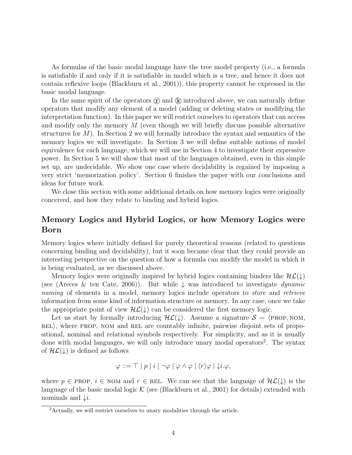As formulas of the basic modal language have the tree model property (i.e., a formula is satisfiable if and only if it is satisfiable in model which is a tree, and hence it does not contain reflexive loops (Blackburn et al., 2001)), this property cannot be expressed in the basic modal language.

In the same spirit of the operators  $\hat{r}$  and  $\hat{k}$  introduced above, we can naturally define operators that modify any element of a model (adding or deleting states or modifying the interpretation function). In this paper we will restrict ourselves to operators that can access and modify only the memory  $M$  (even though we will briefly discuss possible alternative structures for  $M$ ). In Section 2 we will formally introduce the syntax and semantics of the memory logics we will investigate. In Section 3 we will define suitable notions of model equivalence for each language, which we will use in Section 4 to investigate their expressive power. In Section 5 we will show that most of the languages obtained, even in this simple set up, are undecidable. We show one case where decidability is regained by imposing a very strict 'memorization policy'. Section 6 finishes the paper with our conclusions and ideas for future work.

We close this section with some additional details on how memory logics were originally conceived, and how they relate to binding and hybrid logics.

## Memory Logics and Hybrid Logics, or how Memory Logics were Born

Memory logics where initially defined for purely theoretical reasons (related to questions concerning binding and decidability), but it soon became clear that they could provide an interesting perspective on the question of how a formula can modify the model in which it is being evaluated, as we discussed above.

Memory logics were originally inspired by hybrid logics containing binders like  $H\mathcal{L}(\downarrow)$ (see (Areces & ten Cate, 2006)). But while  $\downarrow$  was introduced to investigate *dynamic* naming of elements in a model, memory logics include operators to *store* and *retrieve* information from some kind of information structure or memory. In any case, once we take the appropriate point of view  $H\mathcal{L}(\downarrow)$  can be considered the first memory logic.

Let us start by formally introducing  $H\mathcal{L}(\downarrow)$ . Assume a signature  $\mathcal{S} = \langle \text{PROP}, \text{NOM}, \rangle$  $REL$ , where PROP, NOM and REL are countably infinite, pairwise disjoint sets of propositional, nominal and relational symbols respectively. For simplicity, and as it is usually done with modal languages, we will only introduce unary modal operators<sup>2</sup>. The syntax of  $H\mathcal{L}(\downarrow)$  is defined as follows

$$
\varphi ::= \top | p | i | \neg \varphi | \varphi \wedge \varphi | \langle r \rangle \varphi | \downarrow i.\varphi,
$$

where  $p \in \text{PROP}, i \in \text{NOM}$  and  $r \in \text{REL}$ . We can see that the language of  $\mathcal{HL}(\downarrow)$  is the language of the basic modal logic  $K$  (see (Blackburn et al., 2001) for details) extended with nominals and  $\downarrow i$ .

<sup>&</sup>lt;sup>2</sup>Actually, we will restrict ourselves to unary modalities through the article.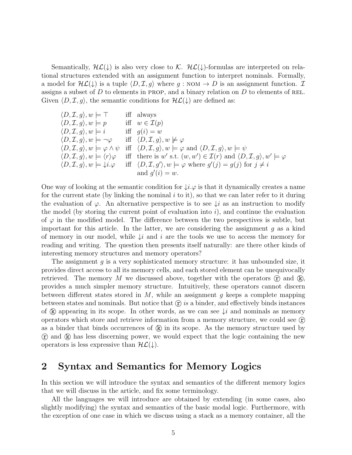Semantically,  $H\mathcal{L}(\downarrow)$  is also very close to K.  $H\mathcal{L}(\downarrow)$ -formulas are interpreted on relational structures extended with an assignment function to interpret nominals. Formally, a model for  $\mathcal{HL}(\downarrow)$  is a tuple  $\langle D,\mathcal{I},g\rangle$  where g : nom  $\rightarrow D$  is an assignment function. I assigns a subset of  $D$  to elements in PROP, and a binary relation on  $D$  to elements of REL. Given  $\langle D, \mathcal{I}, g \rangle$ , the semantic conditions for  $\mathcal{HL}(\downarrow)$  are defined as:

$$
\langle D, \mathcal{I}, g \rangle, w \models \top \quad \text{iff always}
$$
  
\n
$$
\langle D, \mathcal{I}, g \rangle, w \models p \quad \text{iff} \quad w \in \mathcal{I}(p)
$$
  
\n
$$
\langle D, \mathcal{I}, g \rangle, w \models i \quad \text{iff} \quad g(i) = w
$$
  
\n
$$
\langle D, \mathcal{I}, g \rangle, w \models \neg \varphi \quad \text{iff} \quad \langle D, \mathcal{I}, g \rangle, w \not\models \varphi
$$
  
\n
$$
\langle D, \mathcal{I}, g \rangle, w \models \varphi \land \psi \quad \text{iff} \quad \langle D, \mathcal{I}, g \rangle, w \models \varphi \quad \text{and} \quad \langle D, \mathcal{I}, g \rangle, w \models \psi
$$
  
\n
$$
\langle D, \mathcal{I}, g \rangle, w \models \langle r \rangle \varphi \quad \text{iff there is } w' \text{ s.t. } (w, w') \in \mathcal{I}(r) \text{ and } \langle D, \mathcal{I}, g \rangle, w' \models \varphi
$$
  
\n
$$
\langle D, \mathcal{I}, g \rangle, w \models \downarrow i. \varphi \quad \text{iff} \quad \langle D, \mathcal{I}, g' \rangle, w \models \varphi \quad \text{where } g'(j) = g(j) \text{ for } j \neq i
$$
  
\nand  $g'(i) = w$ .

One way of looking at the semantic condition for  $\downarrow i.\varphi$  is that it dynamically creates a name for the current state (by linking the nominal  $i$  to it), so that we can later refer to it during the evaluation of  $\varphi$ . An alternative perspective is to see  $\downarrow i$  as an instruction to modify the model (by storing the current point of evaluation into  $i$ ), and continue the evaluation of  $\varphi$  in the modified model. The difference between the two perspectives is subtle, but important for this article. In the latter, we are considering the assignment  $q$  as a kind of memory in our model, while  $\downarrow i$  and i are the tools we use to access the memory for reading and writing. The question then presents itself naturally: are there other kinds of interesting memory structures and memory operators?

The assignment  $q$  is a very sophisticated memory structure: it has unbounded size, it provides direct access to all its memory cells, and each stored element can be unequivocally retrieved. The memory M we discussed above, together with the operators  $(\hat{r})$  and  $(\hat{k})$ , provides a much simpler memory structure. Intuitively, these operators cannot discern between different states stored in  $M$ , while an assignment q keeps a complete mapping between states and nominals. But notice that  $\hat{\tau}$  is a binder, and effectively binds instances of  $(k)$  appearing in its scope. In other words, as we can see  $\downarrow i$  and nominals as memory operators which store and retrieve information from a memory structure, we could see  $\hat{r}$ as a binder that binds occurrences of  $(\mathbf{k})$  in its scope. As the memory structure used by  $\hat{r}$  and  $\hat{k}$  has less discerning power, we would expect that the logic containing the new operators is less expressive than  $H\mathcal{L}(\downarrow)$ .

# 2 Syntax and Semantics for Memory Logics

In this section we will introduce the syntax and semantics of the different memory logics that we will discuss in the article, and fix some terminology.

All the languages we will introduce are obtained by extending (in some cases, also slightly modifying) the syntax and semantics of the basic modal logic. Furthermore, with the exception of one case in which we discuss using a stack as a memory container, all the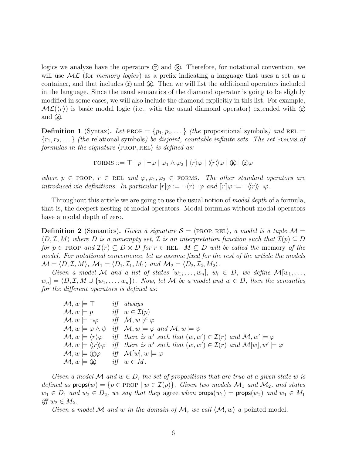logics we analyze have the operators  $(F)$  and  $(F)$ . Therefore, for notational convention, we will use  $ML$  (for *memory logics*) as a prefix indicating a language that uses a set as a container, and that includes  $\hat{r}$  and  $\hat{k}$ . Then we will list the additional operators included in the language. Since the usual semantics of the diamond operator is going to be slightly modified in some cases, we will also include the diamond explicitly in this list. For example,  $ML(r)$  is basic modal logic (i.e., with the usual diamond operator) extended with  $\hat{r}$ and  $(k)$ .

**Definition 1** (Syntax). Let PROP =  $\{p_1, p_2, ...\}$  (the propositional symbols) and REL =  ${r_1, r_2,...}$  (the relational symbols) be disjoint, countable infinite sets. The set FORMS of formulas in the signature  $\langle$ PROP, REL $\rangle$  is defined as:

FORMS ::= 
$$
\top | p | \neg \varphi | \varphi_1 \wedge \varphi_2 | \langle r \rangle \varphi | \langle r \rangle \varphi | \mathcal{L} \varphi | \mathcal{L}
$$

where  $p \in \text{PROP}, r \in \text{REL}$  and  $\varphi, \varphi_1, \varphi_2 \in \text{FORMS}.$  The other standard operators are introduced via definitions. In particular  $[r]\varphi := \neg \langle r \rangle \neg \varphi$  and  $[r]\varphi := \neg \langle \langle r \rangle \neg \varphi$ .

Throughout this article we are going to use the usual notion of *modal depth* of a formula, that is, the deepest nesting of modal operators. Modal formulas without modal operators have a modal depth of zero.

**Definition 2** (Semantics). Given a signature  $S = \langle$  PROP, REL $\rangle$ , a model is a tuple  $\mathcal{M} =$  $\langle D, \mathcal{I}, M \rangle$  where D is a nonempty set, I is an interpretation function such that  $\mathcal{I}(p) \subseteq D$ for  $p \in \text{PROP}$  and  $\mathcal{I}(r) \subseteq D \times D$  for  $r \in \text{REL}$ .  $M \subseteq D$  will be called the memory of the model. For notational convenience, let us assume fixed for the rest of the article the models  $\mathcal{M} = \langle D, \mathcal{I}, M \rangle, \ \mathcal{M}_1 = \langle D_1, \mathcal{I}_1, M_1 \rangle \ and \ \mathcal{M}_2 = \langle D_2, \mathcal{I}_2, M_2 \rangle.$ 

Given a model M and a list of states  $[w_1, \ldots, w_n], w_i \in D$ , we define  $\mathcal{M}[w_1, \ldots, w_n]$  $w_n = \langle D, \mathcal{I}, M \cup \{w_1, \ldots, w_n\}\rangle$ . Now, let M be a model and  $w \in D$ , then the semantics for the different operators is defined as:

$$
\mathcal{M}, w \models \top \quad \text{iff} \quad \text{always} \n\mathcal{M}, w \models p \quad \text{iff} \quad w \in \mathcal{I}(p) \n\mathcal{M}, w \models \neg \varphi \quad \text{iff} \quad \mathcal{M}, w \not\models \varphi \n\mathcal{M}, w \models \varphi \land \psi \quad \text{iff} \quad \mathcal{M}, w \models \varphi \quad \text{and} \quad \mathcal{M}, w \models \psi \n\mathcal{M}, w \models \langle r \rangle \varphi \quad \text{iff} \quad \text{there is } w' \text{ such that } (w, w') \in \mathcal{I}(r) \text{ and } \mathcal{M}, w' \models \varphi \n\mathcal{M}, w \models \langle \langle r \rangle \rangle \varphi \quad \text{iff} \quad \text{there is } w' \text{ such that } (w, w') \in \mathcal{I}(r) \text{ and } \mathcal{M}[w], w' \models \varphi \n\mathcal{M}, w \models \textcircled{D} \varphi \quad \text{iff} \quad \mathcal{M}[w], w \models \varphi \n\mathcal{M}, w \models \textcircled{B} \quad \text{iff} \quad w \in \mathcal{M}.
$$

Given a model M and  $w \in D$ , the set of propositions that are true at a given state w is defined as  $\mathsf{props}(w) = \{p \in \text{PROP} \mid w \in \mathcal{I}(p)\}\$ . Given two models  $\mathcal{M}_1$  and  $\mathcal{M}_2$ , and states  $w_1 \in D_1$  and  $w_2 \in D_2$ , we say that they agree when  $\mathsf{props}(w_1) = \mathsf{props}(w_2)$  and  $w_1 \in M_1$ iff  $w_2 \in M_2$ .

Given a model M and w in the domain of M, we call  $\langle M, w \rangle$  a pointed model.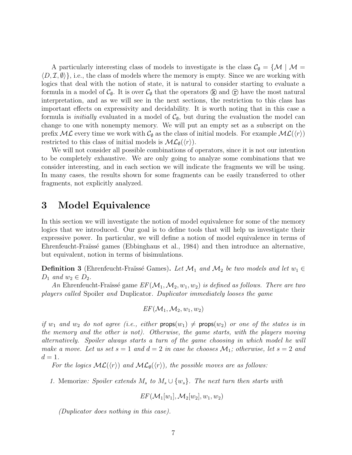A particularly interesting class of models to investigate is the class  $\mathcal{C}_{\emptyset} = \{ \mathcal{M} \mid \mathcal{M} =$  $\langle D, \mathcal{I}, \emptyset \rangle$ , i.e., the class of models where the memory is empty. Since we are working with logics that deal with the notion of state, it is natural to consider starting to evaluate a formula in a model of  $\mathcal{C}_{\emptyset}$ . It is over  $\mathcal{C}_{\emptyset}$  that the operators  $\mathbb{R}$  and  $\mathbb{C}$  have the most natural interpretation, and as we will see in the next sections, the restriction to this class has important effects on expressivity and decidability. It is worth noting that in this case a formula is *initially* evaluated in a model of  $C_{\emptyset}$ , but during the evaluation the model can change to one with nonempty memory. We will put an empty set as a subscript on the prefix  $ML$  every time we work with  $C_{\emptyset}$  as the class of initial models. For example  $ML(\langle r \rangle)$ restricted to this class of initial models is  $\mathcal{ML}_{\emptyset}(\langle r \rangle)$ .

We will not consider all possible combinations of operators, since it is not our intention to be completely exhaustive. We are only going to analyze some combinations that we consider interesting, and in each section we will indicate the fragments we will be using. In many cases, the results shown for some fragments can be easily transferred to other fragments, not explicitly analyzed.

## 3 Model Equivalence

In this section we will investigate the notion of model equivalence for some of the memory logics that we introduced. Our goal is to define tools that will help us investigate their expressive power. In particular, we will define a notion of model equivalence in terms of Ehrenfeucht-Fraüssé games (Ebbinghaus et al., 1984) and then introduce an alternative, but equivalent, notion in terms of bisimulations.

**Definition 3** (Ehrenfeucht-Fraïssé Games). Let  $\mathcal{M}_1$  and  $\mathcal{M}_2$  be two models and let  $w_1 \in$  $D_1$  and  $w_2 \in D_2$ .

An Ehrenfeucht-Fraïssé game  $EF(\mathcal{M}_1, \mathcal{M}_2, w_1, w_2)$  is defined as follows. There are two players called Spoiler and Duplicator. Duplicator immediately looses the game

$$
EF(\mathcal{M}_1, \mathcal{M}_2, w_1, w_2)
$$

if  $w_1$  and  $w_2$  do not agree (i.e., either props( $w_1$ )  $\neq$  props( $w_2$ ) or one of the states is in the memory and the other is not). Otherwise, the game starts, with the players moving alternatively. Spoiler always starts a turn of the game choosing in which model he will make a move. Let us set  $s = 1$  and  $d = 2$  in case he chooses  $\mathcal{M}_1$ ; otherwise, let  $s = 2$  and  $d=1$ .

For the logics  $ML(\langle r \rangle)$  and  $ML_{\emptyset}(\langle r \rangle)$ , the possible moves are as follows:

1. Memorize: Spoiler extends  $M_s$  to  $M_s \cup \{w_s\}$ . The next turn then starts with

$$
EF(\mathcal{M}_1[w_1], \mathcal{M}_2[w_2], w_1, w_2)
$$

(Duplicator does nothing in this case).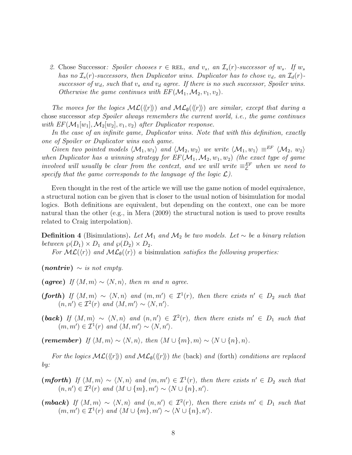2. Chose Successor: Spoiler chooses  $r \in \text{REL}$ , and  $v_s$ , an  $\mathcal{I}_s(r)$ -successor of  $w_s$ . If  $w_s$ has no  $\mathcal{I}_s(r)$ -successors, then Duplicator wins. Duplicator has to chose  $v_d$ , an  $\mathcal{I}_d(r)$ successor of  $w_d$ , such that  $v_s$  and  $v_d$  agree. If there is no such successor, Spoiler wins. Otherwise the game continues with  $EF(\mathcal{M}_1, \mathcal{M}_2, v_1, v_2)$ .

The moves for the logics  $ML(\langle\langle r \rangle\rangle)$  and  $ML_{\emptyset}(\langle\langle r \rangle\rangle)$  are similar, except that during a chose successor step Spoiler always remembers the current world, i.e., the game continues with  $EF(\mathcal{M}_1[w_1], \mathcal{M}_2[w_2], v_1, v_2)$  after Duplicator response.

In the case of an infinite game, Duplicator wins. Note that with this definition, exactly one of Spoiler or Duplicator wins each game.

Given two pointed models  $\langle \mathcal{M}_1, w_1 \rangle$  and  $\langle \mathcal{M}_2, w_2 \rangle$  we write  $\langle \mathcal{M}_1, w_1 \rangle \equiv^{EF} \langle \mathcal{M}_2, w_2 \rangle$ when Duplicator has a winning strategy for  $EF(\mathcal{M}_1, \mathcal{M}_2, w_1, w_2)$  (the exact type of game involved will usually be clear from the context, and we will write  $\equiv_{\mathcal{L}}^{EF}$  when we need to specify that the game corresponds to the language of the logic  $\mathcal{L}$ ).

Even thought in the rest of the article we will use the game notion of model equivalence, a structural notion can be given that is closer to the usual notion of bisimulation for modal logics. Both definitions are equivalent, but depending on the context, one can be more natural than the other (e.g., in Mera (2009) the structural notion is used to prove results related to Craig interpolation).

**Definition 4** (Bisimulations). Let  $\mathcal{M}_1$  and  $\mathcal{M}_2$  be two models. Let  $\sim$  be a binary relation between  $\wp(D_1) \times D_1$  and  $\wp(D_2) \times D_2$ .

For  $ML(\langle r \rangle)$  and  $ML_{\emptyset}(\langle r \rangle)$  a bisimulation satisfies the following properties:

 $(nontriv) \sim$  is not empty.

(agree) If  $\langle M, m \rangle \sim \langle N, n \rangle$ , then m and n agree.

- **(forth)** If  $\langle M,m \rangle \sim \langle N,n \rangle$  and  $(m, m') \in \mathcal{I}^1(r)$ , then there exists  $n' \in D_2$  such that  $(n, n') \in \mathcal{I}^2(r)$  and  $\langle M, m' \rangle \sim \langle N, n' \rangle$ .
- (back) If  $\langle M,m \rangle \sim \langle N,n \rangle$  and  $(n, n') \in \mathcal{I}^2(r)$ , then there exists  $m' \in D_1$  such that  $(m, m') \in \mathcal{I}^1(r)$  and  $\langle M, m' \rangle \sim \langle N, n' \rangle$ .

(remember) If  $\langle M, m \rangle \sim \langle N, n \rangle$ , then  $\langle M \cup \{m\}, m \rangle \sim \langle N \cup \{n\}, n \rangle$ .

For the logics  $ML(\langle\langle r \rangle\rangle)$  and  $ML_{\emptyset}(\langle\langle r \rangle\rangle)$  the (back) and (forth) conditions are replaced by:

(**mforth**) If  $\langle M,m \rangle \sim \langle N,n \rangle$  and  $(m, m') \in \mathcal{I}^1(r)$ , then there exists  $n' \in D_2$  such that  $(n, n') \in \mathcal{I}^2(r)$  and  $\langle M \cup \{m\}, m' \rangle \sim \langle N \cup \{n\}, n' \rangle$ .

(mback) If  $\langle M,m \rangle \sim \langle N,n \rangle$  and  $(n,n') \in \mathcal{I}^2(r)$ , then there exists  $m' \in D_1$  such that  $(m, m') \in \mathcal{I}^1(r)$  and  $\langle M \cup \{m\}, m' \rangle \sim \langle N \cup \{n\}, n' \rangle$ .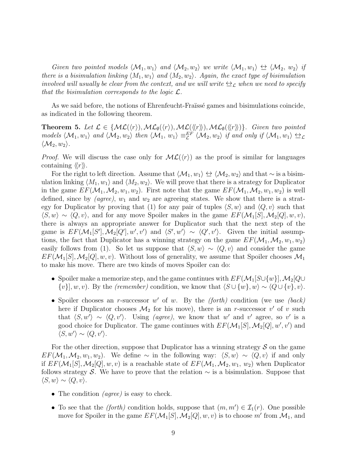Given two pointed models  $\langle \mathcal{M}_1, w_1 \rangle$  and  $\langle \mathcal{M}_2, w_2 \rangle$  we write  $\langle \mathcal{M}_1, w_1 \rangle \leftrightarrow \langle \mathcal{M}_2, w_2 \rangle$  if there is a bisimulation linking  $\langle M_1, w_1 \rangle$  and  $\langle M_2, w_2 \rangle$ . Again, the exact type of bisimulation involved will usually be clear from the context, and we will write  $\triangle$ <sub>c</sub> when we need to specify that the bisimulation corresponds to the logic  $\mathcal{L}$ .

As we said before, the notions of Ehrenfeucht-Fraïssé games and bisimulations coincide, as indicated in the following theorem.

**Theorem 5.** Let  $\mathcal{L} \in \{ML(\langle r \rangle),ML_{\emptyset}(\langle r \rangle),ML(\langle\langle r \rangle),ML_{\emptyset}(\langle\langle r \rangle)\}\)$ . Given two pointed models  $\langle \mathcal{M}_1, w_1 \rangle$  and  $\langle \mathcal{M}_2, w_2 \rangle$  then  $\langle \mathcal{M}_1, w_1 \rangle \equiv_{\mathcal{L}}^{EF} \langle \mathcal{M}_2, w_2 \rangle$  if and only if  $\langle \mathcal{M}_1, w_1 \rangle \leftrightarrow_{\mathcal{L}}$  $\langle \mathcal{M}_2, w_2 \rangle$ .

*Proof.* We will discuss the case only for  $ML(\langle r \rangle)$  as the proof is similar for languages containing  $\langle\!\langle r \rangle\!\rangle$ .

For the right to left direction. Assume that  $\langle \mathcal{M}_1, w_1 \rangle \leftrightarrow \langle \mathcal{M}_2, w_2 \rangle$  and that ∼ is a bisimulation linking  $\langle M_1, w_1 \rangle$  and  $\langle M_2, w_2 \rangle$ . We will prove that there is a strategy for Duplicator in the game  $EF(\mathcal{M}_1,\mathcal{M}_2, w_1, w_2)$ . First note that the game  $EF(\mathcal{M}_1,\mathcal{M}_2, w_1, w_2)$  is well defined, since by *(agree)*,  $w_1$  and  $w_2$  are agreeing states. We show that there is a strategy for Duplicator by proving that (1) for any pair of tuples  $\langle S, w \rangle$  and  $\langle Q, v \rangle$  such that  $\langle S, w \rangle \sim \langle Q, v \rangle$ , and for any move Spoiler makes in the game  $EF(\mathcal{M}_1[S], \mathcal{M}_2[Q], w, v)$ , there is always an appropriate answer for Duplicator such that the next step of the game is  $EF(\mathcal{M}_1[S'], \mathcal{M}_2[Q'], w', v')$  and  $\langle S', w' \rangle \sim \langle Q', v' \rangle$ . Given the initial assumptions, the fact that Duplicator has a winning strategy on the game  $EF(\mathcal{M}_1, \mathcal{M}_2, w_1, w_2)$ easily follows from (1). So let us suppose that  $\langle S, w \rangle \sim \langle Q, v \rangle$  and consider the game  $EF(\mathcal{M}_1[S], \mathcal{M}_2[Q], w, v)$ . Without loss of generality, we assume that Spoiler chooses  $\mathcal{M}_1$ to make his move. There are two kinds of moves Spoiler can do:

- Spoiler make a memorize step, and the game continues with  $EF(\mathcal{M}_1[S\cup\{w\}], \mathcal{M}_2[Q\cup\{w\}])$  ${v}, [w], w, v$ . By the *(remember)* condition, we know that  $\langle S \cup \{w\}, w \rangle \sim \langle Q \cup \{v\}, v \rangle$ .
- Spoiler chooses an r-successor  $w'$  of  $w$ . By the *(forth)* condition (we use *(back)* here if Duplicator chooses  $\mathcal{M}_2$  for his move), there is an r-successor  $v'$  of v such that  $\langle S, w' \rangle \sim \langle Q, v' \rangle$ . Using *(agree)*, we know that w' and v' agree, so v' is a good choice for Duplicator. The game continues with  $EF(\mathcal{M}_1[S], \mathcal{M}_2[Q], w', v')$  and  $\langle S, w' \rangle \sim \langle Q, v' \rangle$ .

For the other direction, suppose that Duplicator has a winning strategy  $S$  on the game  $EF(\mathcal{M}_1,\mathcal{M}_2, w_1, w_2)$ . We define ∼ in the following way:  $\langle S, w \rangle \sim \langle Q, v \rangle$  if and only if  $EF(\mathcal{M}_1[S], \mathcal{M}_2[Q], w, v)$  is a reachable state of  $EF(\mathcal{M}_1, \mathcal{M}_2, w_1, w_2)$  when Duplicator follows strategy S. We have to prove that the relation  $\sim$  is a bisimulation. Suppose that  $\langle S, w \rangle \sim \langle Q, v \rangle$ .

- The condition *(agree)* is easy to check.
- To see that the *(forth)* condition holds, suppose that  $(m, m') \in \mathcal{I}_1(r)$ . One possible move for Spoiler in the game  $EF(\mathcal{M}_1[S], \mathcal{M}_2[Q], w, v)$  is to choose m' from  $\mathcal{M}_1$ , and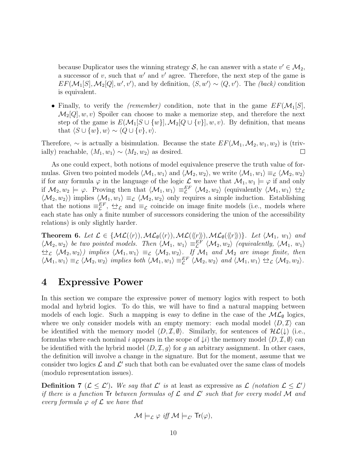because Duplicator uses the winning strategy  $S$ , he can answer with a state  $v' \in \mathcal{M}_2$ , a successor of v, such that  $w'$  and  $v'$  agree. Therefore, the next step of the game is  $EF(\mathcal{M}_1[S], \mathcal{M}_2[Q], w', v')$ , and by definition,  $\langle S, w' \rangle \sim \langle Q, v' \rangle$ . The *(back)* condition is equivalent.

• Finally, to verify the *(remember)* condition, note that in the game  $EF(\mathcal{M}_1[S],$  $\mathcal{M}_2[Q], w, v$  Spoiler can choose to make a memorize step, and therefore the next step of the game is  $E(\mathcal{M}_1[S \cup \{w\}], \mathcal{M}_2[Q \cup \{v\}], w, v)$ . By definition, that means that  $\langle S \cup \{w\}, w \rangle \sim \langle Q \cup \{v\}, v \rangle$ .

Therefore,  $\sim$  is actually a bisimulation. Because the state  $EF(\mathcal{M}_1, \mathcal{M}_2, w_1, w_2)$  is (trivially) reachable,  $\langle M_1, w_1 \rangle \sim \langle M_2, w_2 \rangle$  as desired.  $\Box$ 

As one could expect, both notions of model equivalence preserve the truth value of formulas. Given two pointed models  $\langle \mathcal{M}_1, w_1 \rangle$  and  $\langle \mathcal{M}_2, w_2 \rangle$ , we write  $\langle \mathcal{M}_1, w_1 \rangle \equiv_L \langle \mathcal{M}_2, w_2 \rangle$ if for any formula  $\varphi$  in the language of the logic  $\mathcal L$  we have that  $\mathcal M_1, w_1 \models \varphi$  if and only if  $\mathcal{M}_2, w_2 \models \varphi$ . Proving then that  $\langle \mathcal{M}_1, w_1 \rangle \equiv_{\mathcal{L}}^{EF} \langle \mathcal{M}_2, w_2 \rangle$  (equivalently  $\langle \mathcal{M}_1, w_1 \rangle \leftrightarrow_{\mathcal{L}}$  $\langle \mathcal{M}_2, w_2 \rangle$  implies  $\langle \mathcal{M}_1, w_1 \rangle \equiv_{\mathcal{L}} \langle \mathcal{M}_2, w_2 \rangle$  only requires a simple induction. Establishing that the notions  $\equiv_{\mathcal{L}}^{EF}$ ,  $\leftrightarrow_{\mathcal{L}}$  and  $\equiv_{\mathcal{L}}$  coincide on image finite models (i.e., models where each state has only a finite number of successors considering the union of the accessibility relations) is only slightly harder.

**Theorem 6.** Let  $\mathcal{L} \in \{ML(\langle r \rangle),ML_{\emptyset}(\langle r \rangle),ML(\langle\langle r \rangle),ML_{\emptyset}(\langle\langle r \rangle)\}\)$ . Let  $\langle \mathcal{M}_1, w_1 \rangle$  and  $\langle \mathcal{M}_2, w_2 \rangle$  be two pointed models. Then  $\langle \mathcal{M}_1, w_1 \rangle \equiv_{\mathcal{L}}^{EF} \langle \mathcal{M}_2, w_2 \rangle$  (equivalently,  $\langle \mathcal{M}_1, w_1 \rangle$  $\forall \forall \Delta \in \langle \mathcal{M}_2, w_2 \rangle$  implies  $\langle \mathcal{M}_1, w_1 \rangle \equiv_{\mathcal{L}} \langle \mathcal{M}_2, w_2 \rangle$ . If  $\mathcal{M}_1$  and  $\mathcal{M}_2$  are image finite, then  $\langle \mathcal{M}_1, w_1 \rangle \equiv_{\mathcal{L}} \langle \mathcal{M}_2, w_2 \rangle$  implies both  $\langle \mathcal{M}_1, w_1 \rangle \equiv_{\mathcal{L}}^{EF} \langle \mathcal{M}_2, w_2 \rangle$  and  $\langle \mathcal{M}_1, w_1 \rangle \leftrightarrow_{\mathcal{L}} \langle \mathcal{M}_2, w_2 \rangle$ .

# 4 Expressive Power

In this section we compare the expressive power of memory logics with respect to both modal and hybrid logics. To do this, we will have to find a natural mapping between models of each logic. Such a mapping is easy to define in the case of the  $ML_{\emptyset}$  logics, where we only consider models with an empty memory: each modal model  $\langle D,\mathcal{I}\rangle$  can be identified with the memory model  $\langle D, \mathcal{I}, \emptyset \rangle$ . Similarly, for sentences of  $\mathcal{HL}(\downarrow)$  (i.e., formulas where each nominal i appears in the scope of  $\downarrow i$ ) the memory model  $\langle D, \mathcal{I}, \emptyset \rangle$  can be identified with the hybrid model  $\langle D, \mathcal{I}, g \rangle$  for g an arbitrary assignment. In other cases, the definition will involve a change in the signature. But for the moment, assume that we consider two logics  $\mathcal L$  and  $\mathcal L'$  such that both can be evaluated over the same class of models (modulo representation issues).

**Definition 7** ( $\mathcal{L} \leq \mathcal{L}'$ ). We say that  $\mathcal{L}'$  is at least as expressive as  $\mathcal{L}$  (notation  $\mathcal{L} \leq \mathcal{L}'$ ) if there is a function  $\mathsf{Tr}\,$  between formulas of  $\mathcal L$  and  $\mathcal L'$  such that for every model  $\mathcal M$  and every formula  $\varphi$  of  $\mathcal L$  we have that

$$
\mathcal{M} \models_{\mathcal{L}} \varphi \text{ iff } \mathcal{M} \models_{\mathcal{L}'} \mathsf{Tr}(\varphi),
$$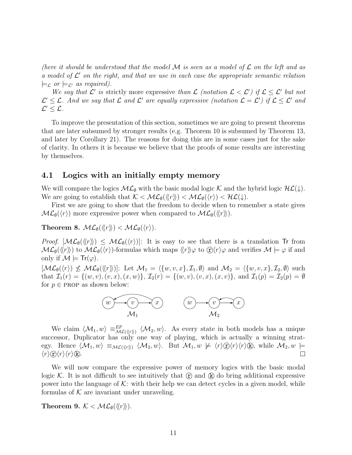(here it should be understood that the model M is seen as a model of  $\mathcal L$  on the left and as a model of  $\mathcal{L}'$  on the right, and that we use in each case the appropriate semantic relation  $\models_{\mathcal{L}}$  or  $\models_{\mathcal{L}'}$  as required).

We say that  $\mathcal{L}'$  is strictly more expressive than  $\mathcal{L}$  (notation  $\mathcal{L} < \mathcal{L}'$ ) if  $\mathcal{L} \leq \mathcal{L}'$  but not  $\mathcal{L}' \leq \mathcal{L}$ . And we say that  $\mathcal L$  and  $\mathcal L'$  are equally expressive (notation  $\mathcal L = \mathcal L'$ ) if  $\mathcal L \leq \mathcal L'$  and  $\mathcal{L}' \leq \mathcal{L}$ .

To improve the presentation of this section, sometimes we are going to present theorems that are later subsumed by stronger results (e.g. Theorem 10 is subsumed by Theorem 13, and later by Corollary 21). The reasons for doing this are in some cases just for the sake of clarity. In others it is because we believe that the proofs of some results are interesting by themselves.

### 4.1 Logics with an initially empty memory

We will compare the logics  $\mathcal{ML}_\emptyset$  with the basic modal logic  $\mathcal{KL}$  and the hybrid logic  $\mathcal{HL}(\downarrow)$ . We are going to establish that  $K < \mathcal{ML}_{\emptyset}(\langle r \rangle) < \mathcal{ML}_{\emptyset}(\langle r \rangle) < \mathcal{HL}(\downarrow)$ .

First we are going to show that the freedom to decide when to remember a state gives  $\mathcal{ML}_{\emptyset}(\langle r \rangle)$  more expressive power when compared to  $\mathcal{ML}_{\emptyset}(\langle r \rangle)$ .

Theorem 8.  $\mathcal{ML}_{\emptyset}(\langle\!\langle r \rangle\!\rangle) < \mathcal{ML}_{\emptyset}(\langle r \rangle)$ .

*Proof.*  $[\mathcal{ML}_{\emptyset}(\langle r \rangle) \leq \mathcal{ML}_{\emptyset}(\langle r \rangle)]$ : It is easy to see that there is a translation Tr from  $ML_{\emptyset}(\langle\!\langle r \rangle\!\rangle)$  to  $ML_{\emptyset}(\langle r \rangle)$ -formulas which maps  $\langle\!\langle r \rangle\rangle\varphi$  to  $\mathcal{D}\langle r \rangle\varphi$  and verifies  $\mathcal{M} \models \varphi$  if and only if  $\mathcal{M} \models \mathsf{Tr}(\varphi)$ .

 $[\mathcal{ML}_{\emptyset}(\langle r \rangle) \nleq \mathcal{ML}_{\emptyset}(\langle r \rangle)]:$  Let  $\mathcal{M}_{1} = \langle \{w, v, x\}, \mathcal{I}_{1}, \emptyset \rangle$  and  $\mathcal{M}_{2} = \langle \{w, v, x\}, \mathcal{I}_{2}, \emptyset \rangle$  such that  $\mathcal{I}_1(r) = \{(w, v), (v, x), (x, w)\}, \mathcal{I}_2(r) = \{(w, v), (v, x), (x, v)\}, \text{ and } \mathcal{I}_1(p) = \mathcal{I}_2(p) = \emptyset$ for  $p \in \text{PROP}$  as shown below:



We claim  $\langle \mathcal{M}_1, w \rangle \equiv_{\mathcal{ML}(\langle \langle r \rangle \rangle)}^{\text{EF}} \langle \mathcal{M}_2, w \rangle$ . As every state in both models has a unique successor, Duplicator has only one way of playing, which is actually a winning strategy. Hence  $\langle \mathcal{M}_1, w \rangle \equiv_{\mathcal{ML}(\langle \langle r \rangle \rangle)} \langle \mathcal{M}_2, w \rangle$ . But  $\mathcal{M}_1, w \not\models \langle r \rangle \mathbb{C} \langle r \rangle \langle r \rangle \langle k$ , while  $\mathcal{M}_2, w \models$  $\langle r \rangle \langle \hat{\mathbf{r}} \rangle \langle r \rangle \langle \hat{\mathbf{k}} \rangle$ .  $\Box$ 

We will now compare the expressive power of memory logics with the basic modal logic K. It is not difficult to see intuitively that  $\hat{\tau}$  and  $\hat{\kappa}$  do bring additional expressive power into the language of  $\mathcal{K}$ : with their help we can detect cycles in a given model, while formulas of  $K$  are invariant under unraveling.

**Theorem 9.**  $K < \mathcal{ML}_{\emptyset}(\langle\!\langle r \rangle\!\rangle)$ .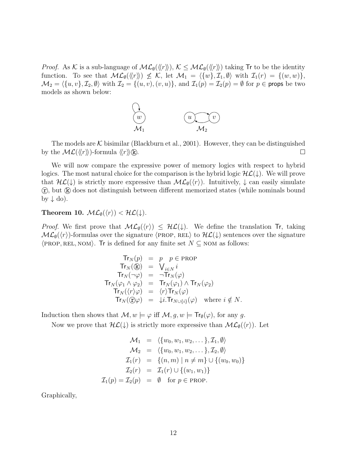*Proof.* As K is a sub-language of  $ML_{\emptyset}(\langle\langle r \rangle\rangle), K \leq ML_{\emptyset}(\langle\langle r \rangle\rangle)$  taking Tr to be the identity function. To see that  $\mathcal{ML}_{\emptyset}(\langle\!\langle r \rangle\!\rangle) \not\leq \mathcal{K}$ , let  $\mathcal{M}_1 = \langle \{w\}, \mathcal{I}_1, \emptyset \rangle$  with  $\mathcal{I}_1(r) = \{(w, w)\},$  $\mathcal{M}_2 = \langle \{u, v\}, \mathcal{I}_2, \emptyset \rangle$  with  $\mathcal{I}_2 = \{(u, v), (v, u)\}\$ , and  $\mathcal{I}_1(p) = \mathcal{I}_2(p) = \emptyset$  for  $p \in \text{props}$  be two models as shown below:



The models are  $K$  bisimilar (Blackburn et al., 2001). However, they can be distinguished by the  $ML(\langle r \rangle)$ -formula  $\langle r \rangle$  $(\mathbf{k})$ .  $\Box$ 

We will now compare the expressive power of memory logics with respect to hybrid logics. The most natural choice for the comparison is the hybrid logic  $H\mathcal{L}(\downarrow)$ . We will prove that  $H\mathcal{L}(\downarrow)$  is strictly more expressive than  $\mathcal{ML}_{\emptyset}(\langle r \rangle)$ . Intuitively,  $\downarrow$  can easily simulate  $\hat{r}$ , but  $\hat{\alpha}$  does not distinguish between different memorized states (while nominals bound by  $\downarrow$  do).

### Theorem 10.  $\mathcal{ML}_{\emptyset}(\langle r \rangle) < \mathcal{HL}(\downarrow)$ .

*Proof.* We first prove that  $ML_{\emptyset}(\langle r \rangle) \leq HL(\downarrow)$ . We define the translation Tr, taking  $ML_{\emptyset}(\langle r \rangle)$ -formulas over the signature  $\langle$ PROP, REL $\rangle$  to  $\mathcal{HL}(\downarrow)$  sentences over the signature  $\langle$ PROP, REL, NOM $\rangle$ . Tr is defined for any finite set  $N \subseteq$  NOM as follows:

$$
\begin{array}{rcl}\n\mathsf{Tr}_N(p) & = & p & p \in \text{PROP} \\
\mathsf{Tr}_N(\mathbb{Q}) & = & \bigvee_{i \in N} i \\
\mathsf{Tr}_N(\neg \varphi) & = & \neg \mathsf{Tr}_N(\varphi) \\
\mathsf{Tr}_N(\varphi_1 \land \varphi_2) & = & \mathsf{Tr}_N(\varphi_1) \land \mathsf{Tr}_N(\varphi_2) \\
\mathsf{Tr}_N(\langle r \rangle \varphi) & = & \langle r \rangle \mathsf{Tr}_N(\varphi) \\
\mathsf{Tr}_N(\mathbb{Q} \varphi) & = & \downarrow i.\mathsf{Tr}_{N \cup \{i\}}(\varphi) \quad \text{where } i \notin N.\n\end{array}
$$

Induction then shows that  $\mathcal{M}, w \models \varphi$  iff  $\mathcal{M}, g, w \models \mathsf{Tr}_{\emptyset}(\varphi)$ , for any g.

Now we prove that  $H\mathcal{L}(\downarrow)$  is strictly more expressive than  $\mathcal{ML}_{\emptyset}(\langle r \rangle)$ . Let

$$
\mathcal{M}_1 = \langle \{w_0, w_1, w_2, \dots\}, \mathcal{I}_1, \emptyset \rangle \n\mathcal{M}_2 = \langle \{w_0, w_1, w_2, \dots\}, \mathcal{I}_2, \emptyset \rangle \n\mathcal{I}_1(r) = \{(n, m) | n \neq m\} \cup \{(w_0, w_0)\} \n\mathcal{I}_2(r) = \mathcal{I}_1(r) \cup \{(w_1, w_1)\} \n\mathcal{I}_1(p) = \mathcal{I}_2(p) = \emptyset \text{ for } p \in \text{PROP}.
$$

Graphically,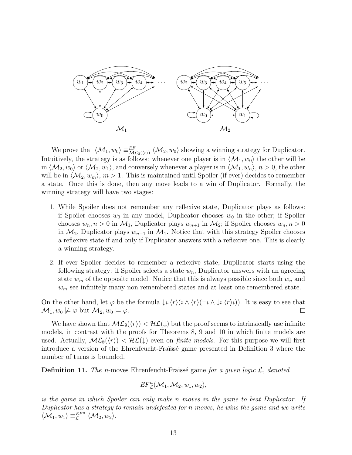

We prove that  $\langle \mathcal{M}_1, w_0 \rangle \equiv_{\mathcal{ML}_{\emptyset}(\langle r \rangle)}^{EF} \langle \mathcal{M}_2, w_0 \rangle$  showing a winning strategy for Duplicator. Intuitively, the strategy is as follows: whenever one player is in  $\langle \mathcal{M}_1, w_0 \rangle$  the other will be in  $\langle \mathcal{M}_2, w_0 \rangle$  or  $\langle \mathcal{M}_2, w_1 \rangle$ , and conversely whenever a player is in  $\langle \mathcal{M}_1, w_n \rangle$ ,  $n > 0$ , the other will be in  $\langle \mathcal{M}_2, w_m \rangle$ ,  $m > 1$ . This is maintained until Spoiler (if ever) decides to remember a state. Once this is done, then any move leads to a win of Duplicator. Formally, the winning strategy will have two stages:

- 1. While Spoiler does not remember any reflexive state, Duplicator plays as follows: if Spoiler chooses  $w_0$  in any model, Duplicator chooses  $w_0$  in the other; if Spoiler chooses  $w_n, n > 0$  in  $\mathcal{M}_1$ , Duplicator plays  $w_{n+1}$  in  $\mathcal{M}_2$ ; if Spoiler chooses  $w_n, n > 0$ in  $\mathcal{M}_2$ , Duplicator plays  $w_{n-1}$  in  $\mathcal{M}_1$ . Notice that with this strategy Spoiler chooses a reflexive state if and only if Duplicator answers with a reflexive one. This is clearly a winning strategy.
- 2. If ever Spoiler decides to remember a reflexive state, Duplicator starts using the following strategy: if Spoiler selects a state  $w_n$ , Duplicator answers with an agreeing state  $w_m$  of the opposite model. Notice that this is always possible since both  $w_n$  and  $w_m$  see infinitely many non remembered states and at least one remembered state.

On the other hand, let  $\varphi$  be the formula  $\downarrow i.\langle r\rangle(i \wedge \langle r \rangle(\neg i \wedge \downarrow i.\langle r \rangle i))$ . It is easy to see that  $\mathcal{M}_1, w_0 \not\models \varphi$  but  $\mathcal{M}_2, w_0 \models \varphi$ .  $\Box$ 

We have shown that  $ML_{\emptyset}(\langle r \rangle) < HL({\downarrow})$  but the proof seems to intrinsically use infinite models, in contrast with the proofs for Theorems 8, 9 and 10 in which finite models are used. Actually,  $\mathcal{ML}_{\emptyset}(\langle r \rangle) < \mathcal{HL}(\downarrow)$  even on *finite models*. For this purpose we will first introduce a version of the Ehrenfeucht-Fraüssé game presented in Definition 3 where the number of turns is bounded.

**Definition 11.** The n-moves Ehrenfeucht-Fraüssé game for a given logic  $\mathcal{L}$ , denoted

$$
EF_{\mathcal{L}}^{n}(\mathcal{M}_1, \mathcal{M}_2, w_1, w_2),
$$

is the game in which Spoiler can only make n moves in the game to beat Duplicator. If Duplicator has a strategy to remain undefeated for n moves, he wins the game and we write  $\langle \mathcal{M}_1, w_1 \rangle \equiv_{\mathcal{L}}^{EF^n} \langle \mathcal{M}_2, w_2 \rangle.$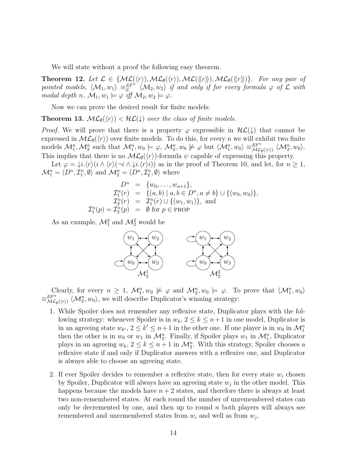We will state without a proof the following easy theorem.

**Theorem 12.** Let  $\mathcal{L} \in \{ML(\langle r \rangle),ML_{\emptyset}(\langle r \rangle),ML(\langle \langle r \rangle),ML_{\emptyset}(\langle \langle r \rangle)\}\$ . For any pair of pointed models,  $\langle \mathcal{M}_1, w_1 \rangle \equiv_{\mathcal{L}}^{EF^h} \langle \mathcal{M}_2, w_2 \rangle$  if and only if for every formula  $\varphi$  of  $\mathcal L$  with modal depth n,  $\mathcal{M}_1, w_1 \models \varphi \text{ iff } \mathcal{M}_2, w_2 \models \varphi.$ 

Now we can prove the desired result for finite models:

**Theorem 13.**  $\mathcal{ML}_{\emptyset}(\langle r \rangle) < \mathcal{HL}(\downarrow)$  over the class of finite models.

*Proof.* We will prove that there is a property  $\varphi$  expressible in  $H\mathcal{L}(\downarrow)$  that cannot be expressed in  $ML_{\emptyset}(\langle r \rangle)$  over finite models. To do this, for every n we will exhibit two finite models  $\mathcal{M}_1^n$ ,  $\mathcal{M}_2^n$  such that  $\mathcal{M}_1^n$ ,  $w_0 \models \varphi$ ,  $\mathcal{M}_2^n$ ,  $w_0 \not\models \varphi$  but  $\langle \mathcal{M}_1^n, w_0 \rangle \equiv_{\mathcal{ML}_\emptyset(\langle r \rangle)}^{EF^n} \langle \mathcal{M}_2^n, w_0 \rangle$ . This implies that there is no  $\mathcal{ML}_{\emptyset}(\langle r \rangle)$ -formula  $\psi$  capable of expressing this property.

Let  $\varphi = \frac{1}{i} \cdot \frac{\langle r \rangle}{i} \wedge \frac{\langle r \rangle}{\langle r \rangle} \cdot \frac{\langle r \rangle}{i}$  as in the proof of Theorem 10, and let, for  $n \geq 1$ ,  $\mathcal{M}_1^n = \langle D^n, \mathcal{I}_1^n, \emptyset \rangle$  and  $\mathcal{M}_2^n = \langle D^n, \mathcal{I}_2^n, \emptyset \rangle$  where

$$
D^{n} = \{w_0, \ldots, w_{n+1}\},
$$
  
\n
$$
\mathcal{I}_1^n(r) = \{(a, b) \mid a, b \in D^n, a \neq b\} \cup \{(w_0, w_0)\},
$$
  
\n
$$
\mathcal{I}_2^n(r) = \mathcal{I}_1^n(r) \cup \{(w_1, w_1)\}, \text{ and}
$$
  
\n
$$
\mathcal{I}_1^n(p) = \mathcal{I}_2^n(p) = \emptyset \text{ for } p \in \text{PROP}
$$

As an example,  $\mathcal{M}_1^2$  and  $\mathcal{M}_2^2$  would be



Clearly, for every  $n \geq 1$ ,  $\mathcal{M}_1^n, w_0 \not\models \varphi$  and  $\mathcal{M}_2^n, w_0 \not\models \varphi$ . To prove that  $\langle \mathcal{M}_1^n, w_0 \rangle$  $\equiv^{\textit{EF}^n}_{\mathcal{ML}_{\emptyset}(\langle r \rangle)} \langle \mathcal{M}^n_2, w_0 \rangle$ , we will describe Duplicator's winning strategy:

- 1. While Spoiler does not remember any reflexive state, Duplicator plays with the following strategy: whenever Spoiler is in  $w_k$ ,  $2 \leq k \leq n+1$  in one model, Duplicator is in an agreeing state  $w_{k'}$ ,  $2 \leq k' \leq n+1$  in the other one. If one player is in  $w_0$  in  $\mathcal{M}_1^n$ then the other is in  $w_0$  or  $w_1$  in  $\mathcal{M}_2^n$ . Finally, if Spoiler plays  $w_1$  in  $\mathcal{M}_1^n$ , Duplicator plays in an agreeing  $w_k$ ,  $2 \leq k \leq n+1$  in  $\mathcal{M}_2^n$ . With this strategy, Spoiler chooses a reflexive state if and only if Duplicator answers with a reflexive one, and Duplicator is always able to choose an agreeing state.
- 2. If ever Spoiler decides to remember a reflexive state, then for every state  $w_i$  chosen by Spoiler, Duplicator will always have an agreeing state  $w_j$  in the other model. This happens because the models have  $n + 2$  states, and therefore there is always at least two non-remembered states. At each round the number of unremembered states can only be decremented by one, and then up to round  $n$  both players will always see remembered and unremembered states from  $w_i$  and well as from  $w_j$ .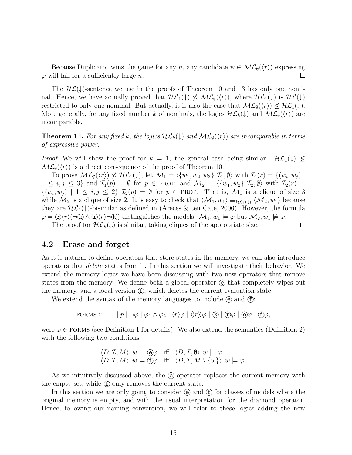Because Duplicator wins the game for any n, any candidate  $\psi \in \mathcal{ML}_{\emptyset}(\langle r \rangle)$  expressing  $\varphi$  will fail for a sufficiently large *n*.  $\Box$ 

The  $H\mathcal{L}(\downarrow)$ -sentence we use in the proofs of Theorem 10 and 13 has only one nominal. Hence, we have actually proved that  $H\mathcal{L}_1(\downarrow) \nleq \mathcal{ML}_{\emptyset}(\langle r \rangle)$ , where  $H\mathcal{L}_1(\downarrow)$  is  $H\mathcal{L}(\downarrow)$ restricted to only one nominal. But actually, it is also the case that  $\mathcal{ML}_{\emptyset}(\langle r \rangle) \nleq \mathcal{HL}_1(\downarrow)$ . More generally, for any fixed number k of nominals, the logics  $H\mathcal{L}_{k}(\downarrow)$  and  $\mathcal{ML}_{\emptyset}(\langle r \rangle)$  are incomparable.

**Theorem 14.** For any fixed k, the logics  $H\mathcal{L}_k(\downarrow)$  and  $\mathcal{ML}_{\emptyset}(\langle r \rangle)$  are incomparable in terms of expressive power.

*Proof.* We will show the proof for  $k = 1$ , the general case being similar.  $\mathcal{HL}_1(\downarrow) \not\leq$  $ML_{\emptyset}(\langle r \rangle)$  is a direct consequence of the proof of Theorem 10.

To prove  $\mathcal{ML}_{\emptyset}(\langle r \rangle) \not\leq \mathcal{HL}_1(\downarrow)$ , let  $\mathcal{M}_1 = \langle \{w_1, w_2, w_3\}, \mathcal{I}_1, \emptyset \rangle$  with  $\mathcal{I}_1(r) = \{(w_i, w_j) \mid$  $1 \leq i, j \leq 3$  and  $\mathcal{I}_1(p) = \emptyset$  for  $p \in \text{PROP}$ , and  $\mathcal{M}_2 = \langle \{w_1, w_2\}, \mathcal{I}_2, \emptyset \rangle$  with  $\mathcal{I}_2(r) =$  $\{(w_i, w_j) \mid 1 \leq i, j \leq 2\}$   $\mathcal{I}_2(p) = \emptyset$  for  $p \in \text{PROP}$ . That is,  $\mathcal{M}_1$  is a clique of size 3 while  $\mathcal{M}_2$  is a clique of size 2. It is easy to check that  $\langle \mathcal{M}_1, w_1 \rangle \equiv_{\mathcal{HL}_1(\downarrow)} \langle \mathcal{M}_2, w_1 \rangle$  because they are  $H\mathcal{L}_1(\downarrow)$ -bisimilar as defined in (Areces & ten Cate, 2006). However, the formula  $\varphi = \mathcal{D}\langle r \rangle$  ( $\neg \mathbb{R} \wedge \mathcal{D}\langle r \rangle \neg \mathbb{R}$ ) distinguishes the models:  $\mathcal{M}_1, w_1 \models \varphi$  but  $\mathcal{M}_2, w_1 \not\models \varphi$ .

The proof for  $\mathcal{HL}_k(\downarrow)$  is similar, taking cliques of the appropriate size.

 $\Box$ 

### 4.2 Erase and forget

As it is natural to define operators that store states in the memory, we can also introduce operators that delete states from it. In this section we will investigate their behavior. We extend the memory logics we have been discussing with two new operators that remove states from the memory. We define both a global operator  $\Theta$  that completely wipes out the memory, and a local version  $(f)$ , which deletes the current evaluation state.

We extend the syntax of the memory languages to include  $(\epsilon)$  and  $(\hat{f})$ :

FORMS ::=  $\top | p | \neg \varphi | \varphi_1 \wedge \varphi_2 | \langle r \rangle \varphi | \langle r \rangle \varphi | \langle \mathbf{R} | \hat{\mathbf{\tau}} \varphi | \hat{\mathbf{\Theta}} \varphi | \langle \mathbf{f} \rangle \varphi$ 

were  $\varphi \in$  FORMS (see Definition 1 for details). We also extend the semantics (Definition 2) with the following two conditions:

$$
\langle D, \mathcal{I}, M \rangle, w \models \text{C\&} \text{ iff } \langle D, \mathcal{I}, \emptyset \rangle, w \models \varphi \langle D, \mathcal{I}, M \rangle, w \models \text{C\&} \text{ iff } \langle D, \mathcal{I}, M \setminus \{w\} \rangle, w \models \varphi.
$$

As we intuitively discussed above, the  $\Theta$  operator replaces the current memory with the empty set, while  $(f)$  only removes the current state.

In this section we are only going to consider  $\Theta$  and  $\widehat{\mathcal{F}}$  for classes of models where the original memory is empty, and with the usual interpretation for the diamond operator. Hence, following our naming convention, we will refer to these logics adding the new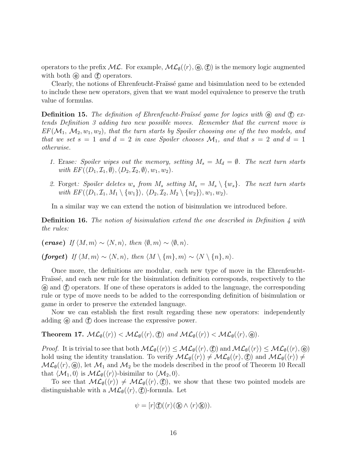operators to the prefix  $ML$ . For example,  $ML_{\emptyset}(\langle r \rangle, \Theta, \mathcal{F})$  is the memory logic augmented with both  $\Theta$  and  $\Theta$  operators.

Clearly, the notions of Ehrenfeucht-Fraïssé game and bisimulation need to be extended to include these new operators, given that we want model equivalence to preserve the truth value of formulas.

**Definition 15.** The definition of Ehrenfeucht-Fraüssé game for logics with  $\Theta$  and  $\Theta$  extends Definition 3 adding two new possible moves. Remember that the current move is  $EF(\mathcal{M}_1, \mathcal{M}_2, w_1, w_2)$ , that the turn starts by Spoiler choosing one of the two models, and that we set  $s = 1$  and  $d = 2$  in case Spoiler chooses  $\mathcal{M}_1$ , and that  $s = 2$  and  $d = 1$ otherwise.

- 1. Erase: Spoiler wipes out the memory, setting  $M_s = M_d = \emptyset$ . The next turn starts with  $EF(\langle D_1, \mathcal{I}_1, \emptyset \rangle, \langle D_2, \mathcal{I}_2, \emptyset \rangle, w_1, w_2)$ .
- 2. Forget: Spoiler deletes  $w_s$  from  $M_s$  setting  $M_s = M_s \setminus \{w_s\}$ . The next turn starts with  $EF(\langle D_1, \mathcal{I}_1, M_1 \setminus \{w_1\}\rangle, \langle D_2, \mathcal{I}_2, M_2 \setminus \{w_2\}\rangle, w_1, w_2).$

In a similar way we can extend the notion of bisimulation we introduced before.

**Definition 16.** The notion of bisimulation extend the one described in Definition 4 with the rules:

(erase) If  $\langle M, m \rangle \sim \langle N, n \rangle$ , then  $\langle \emptyset, m \rangle \sim \langle \emptyset, n \rangle$ .

(forget) If  $\langle M, m \rangle \sim \langle N, n \rangle$ , then  $\langle M \setminus \{m\}, m \rangle \sim \langle N \setminus \{n\}, n \rangle$ .

Once more, the definitions are modular, each new type of move in the Ehrenfeucht-Fraïssé, and each new rule for the bisimulation definition corresponds, respectively to the (e) and  $(f)$  operators. If one of these operators is added to the language, the corresponding rule or type of move needs to be added to the corresponding definition of bisimulation or game in order to preserve the extended language.

Now we can establish the first result regarding these new operators: independently adding  $(\epsilon)$  and  $(\epsilon)$  does increase the expressive power.

**Theorem 17.**  $\mathcal{ML}_{\emptyset}(\langle r \rangle) < \mathcal{ML}_{\emptyset}(\langle r \rangle, \textbf{f})$  and  $\mathcal{ML}_{\emptyset}(\langle r \rangle) < \mathcal{ML}_{\emptyset}(\langle r \rangle, \textbf{e})$ .

*Proof.* It is trivial to see that both  $ML_{\emptyset}(\langle r \rangle) \leq ML_{\emptyset}(\langle r \rangle, \textbf{f})$  and  $ML_{\emptyset}(\langle r \rangle) \leq ML_{\emptyset}(\langle r \rangle, \textbf{e})$ hold using the identity translation. To verify  $\mathcal{ML}_{\emptyset}(\langle r \rangle) \neq \mathcal{ML}_{\emptyset}(\langle r \rangle, \text{C})$  and  $\mathcal{ML}_{\emptyset}(\langle r \rangle) \neq$  $ML_{\emptyset}(\langle r \rangle, \textcircled{e}),$  let  $\mathcal{M}_1$  and  $\mathcal{M}_2$  be the models described in the proof of Theorem 10 Recall that  $\langle \mathcal{M}_1, 0 \rangle$  is  $\mathcal{ML}_{\emptyset}(\langle r \rangle)$ -bisimilar to  $\langle \mathcal{M}_2, 0 \rangle$ .

To see that  $ML_{\emptyset}(\langle r \rangle) \neq ML_{\emptyset}(\langle r \rangle, \text{\textcircled{f}})$ , we show that these two pointed models are distinguishable with a  $\mathcal{ML}_{\emptyset}(\langle r \rangle, \text{F})$ -formula. Let

$$
\psi = [r] \mathcal{L}(\langle r \rangle (\mathbb{R} \wedge \langle r \rangle \mathbb{R})).
$$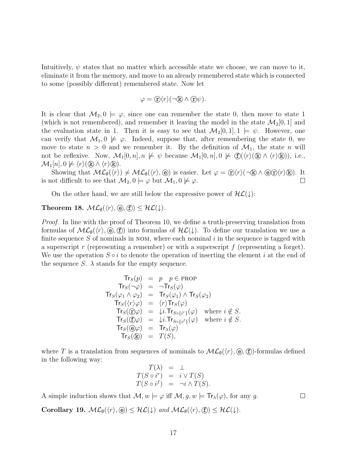Intuitively,  $\psi$  states that no matter which accessible state we choose, we can move to it, eliminate it from the memory, and move to an already remembered state which is connected to some (possibly different) remembered state. Now let

$$
\varphi = \mathbf{C} \langle r \rangle (\neg \mathbf{C} \land \mathbf{C} \psi).
$$

It is clear that  $\mathcal{M}_2, 0 \models \varphi$ , since one can remember the state 0, then move to state 1 (which is not remembered), and remember it leaving the model in the state  $\mathcal{M}_2[0,1]$  and the evaluation state in 1. Then it is easy to see that  $\mathcal{M}_2[0,1], 1 \models \psi$ . However, one can verify that  $\mathcal{M}_1, 0 \not\models \varphi$ . Indeed, suppose that, after remembering the state 0, we move to state  $n > 0$  and we remember it. By the definition of  $\mathcal{M}_1$ , the state n will not be reflexive. Now,  $\mathcal{M}_1[0,n], n \not\models \psi$  because  $\mathcal{M}_1[0,n], 0 \not\models (\text{f}(\langle r \rangle(\text{R} \wedge \langle r \rangle \text{R}))),$  i.e.,  $\mathcal{M}_1[n], 0 \not\models \langle r \rangle(\mathbb{R} \wedge \langle r \rangle(\mathbb{R})).$ 

Showing that  $ML_{\emptyset}(\langle r \rangle) \neq ML_{\emptyset}(\langle r \rangle, \textcircled{e})$  is easier. Let  $\varphi = \textcircled{r}\langle r \rangle (\neg \textcircled{k} \wedge \textcircled{e} \textcircled{r} \langle r \rangle \textcircled{k})$ . It is not difficult to see that  $\mathcal{M}_2, 0 \models \varphi$  but  $\mathcal{M}_1, 0 \not\models \varphi$ .  $\Box$ 

On the other hand, we are still below the expressive power of  $H\mathcal{L}(\downarrow)$ :

### Theorem 18.  $ML_{\emptyset}(\langle r \rangle, \textcircled{e}, \textcircled{f}) \leq \mathcal{HL}(\downarrow)$ .

Proof. In line with the proof of Theorem 10, we define a truth-preserving translation from formulas of  $ML_{\emptyset}(\langle r \rangle, \Theta, \overline{\Theta})$  into formulas of  $HL(\downarrow)$ . To define our translation we use a finite sequence S of nominals in NOM, where each nominal  $i$  in the sequence is tagged with a superscript r (representing a remember) or with a superscript f (representing a forget). We use the operation  $S \circ i$  to denote the operation of inserting the element i at the end of the sequence  $S$ .  $\lambda$  stands for the empty sequence.

$$
\begin{array}{rcl}\n\operatorname{Tr}_S(p) & = & p & p \in \text{PROP} \\
\operatorname{Tr}_S(\neg \varphi) & = & \neg \operatorname{Tr}_S(\varphi) \\
\operatorname{Tr}_S(\varphi_1 \wedge \varphi_2) & = & \operatorname{Tr}_S(\varphi_1) \wedge \operatorname{Tr}_S(\varphi_2) \\
\operatorname{Tr}_S(\langle r \rangle \varphi) & = & \langle r \rangle \operatorname{Tr}_S(\varphi) \\
\operatorname{Tr}_S(\bigcirc \varphi) & = & \downarrow i. \operatorname{Tr}_{S \circ \{ i^r \}}(\varphi) \\
\operatorname{Tr}_S(\bigcirc \varphi) & = & \downarrow i. \operatorname{Tr}_{S \circ \{ i^r \}}(\varphi) \\
\operatorname{Tr}_S(\bigcirc \varphi) & = & \operatorname{Tr}_\lambda(\varphi) \\
\operatorname{Tr}_S(\bigcirc \varphi) & = & \operatorname{Tr}_\lambda(\varphi) \\
\operatorname{Tr}_S(\bigcirc \varphi) & = & T(S),\n\end{array}
$$

where T is a translation from sequences of nominals to  $ML_{\emptyset}(\langle r \rangle, \Theta, \textbf{F})$ -formulas defined in the following way:

$$
T(\lambda) = \bot
$$
  
\n
$$
T(S \circ i^{r}) = i \vee T(S)
$$
  
\n
$$
T(S \circ i^{f}) = \neg i \wedge T(S).
$$

A simple induction shows that  $\mathcal{M}, w \models \varphi$  iff  $\mathcal{M}, g, w \models \text{Tr}_{\lambda}(\varphi)$ , for any g.

Corollary 19.  $\mathcal{ML}_{\emptyset}(\langle r \rangle, \textcircled{e}) \leq \mathcal{HL}(\downarrow)$  and  $\mathcal{ML}_{\emptyset}(\langle r \rangle, \textcircled{f}) \leq \mathcal{HL}(\downarrow)$ .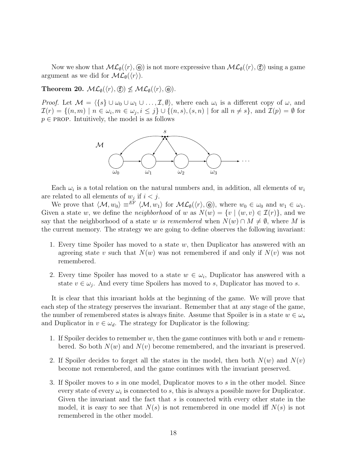Now we show that  $ML_{\emptyset}(\langle r \rangle, \textcircled{e})$  is not more expressive than  $ML_{\emptyset}(\langle r \rangle, \textcircled{f})$  using a game argument as we did for  $\mathcal{ML}_{\emptyset}(\langle r \rangle)$ .

Theorem 20.  $\mathcal{ML}_{\emptyset}(\langle r \rangle, \textcircled{f}) \nleq \mathcal{ML}_{\emptyset}(\langle r \rangle, \textcircled{e}).$ 

*Proof.* Let  $\mathcal{M} = \langle \{s\} \cup \omega_0 \cup \omega_1 \cup \ldots, \mathcal{I}, \emptyset \rangle$ , where each  $\omega_i$  is a different copy of  $\omega$ , and  $\mathcal{I}(r) = \{(n,m) \mid n \in \omega_i, m \in \omega_j, i \leq j\} \cup \{(n,s),(s,n) \mid \text{for all } n \neq s\},\$ and  $\mathcal{I}(p) = \emptyset$  for  $p \in \text{PROP}$ . Intuitively, the model is as follows



Each  $\omega_i$  is a total relation on the natural numbers and, in addition, all elements of  $w_i$ are related to all elements of  $w_j$  if  $i < j$ .

We prove that  $\langle M, w_0 \rangle \equiv^{E_F'} \langle M, w_1 \rangle$  for  $\mathcal{ML}_{\emptyset}(\langle r \rangle, \textcircled{e}),$  where  $w_0 \in \omega_0$  and  $w_1 \in \omega_1$ . Given a state w, we define the *neighborhood* of w as  $N(w) = \{v \mid (w, v) \in \mathcal{I}(r)\}\)$ , and we say that the neighborhood of a state w is remembered when  $N(w) \cap M \neq \emptyset$ , where M is the current memory. The strategy we are going to define observes the following invariant:

- 1. Every time Spoiler has moved to a state  $w$ , then Duplicator has answered with an agreeing state v such that  $N(w)$  was not remembered if and only if  $N(v)$  was not remembered.
- 2. Every time Spoiler has moved to a state  $w \in \omega_i$ , Duplicator has answered with a state  $v \in \omega_j$ . And every time Spoilers has moved to s, Duplicator has moved to s.

It is clear that this invariant holds at the beginning of the game. We will prove that each step of the strategy preserves the invariant. Remember that at any stage of the game, the number of remembered states is always finite. Assume that Spoiler is in a state  $w \in \omega_s$ and Duplicator in  $v \in \omega_d$ . The strategy for Duplicator is the following:

- 1. If Spoiler decides to remember w, then the game continues with both w and v remembered. So both  $N(w)$  and  $N(v)$  become remembered, and the invariant is preserved.
- 2. If Spoiler decides to forget all the states in the model, then both  $N(w)$  and  $N(v)$ become not remembered, and the game continues with the invariant preserved.
- 3. If Spoiler moves to s in one model, Duplicator moves to s in the other model. Since every state of every  $\omega_i$  is connected to s, this is always a possible move for Duplicator. Given the invariant and the fact that  $s$  is connected with every other state in the model, it is easy to see that  $N(s)$  is not remembered in one model iff  $N(s)$  is not remembered in the other model.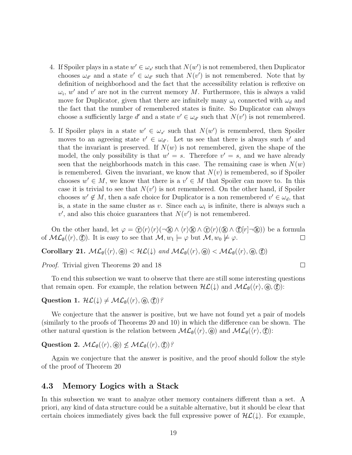- 4. If Spoiler plays in a state  $w' \in \omega_{s'}$  such that  $N(w')$  is not remembered, then Duplicator chooses  $\omega_{d'}$  and a state  $v' \in \omega_{d'}$  such that  $N(v')$  is not remembered. Note that by definition of neighborhood and the fact that the accessibility relation is reflexive on  $\omega_i$ , w' and v' are not in the current memory M. Furthermore, this is always a valid move for Duplicator, given that there are infinitely many  $\omega_i$  connected with  $\omega_d$  and the fact that the number of remembered states is finite. So Duplicator can always choose a sufficiently large d' and a state  $v' \in \omega_{d'}$  such that  $N(v')$  is not remembered.
- 5. If Spoiler plays in a state  $w' \in \omega_{s'}$  such that  $N(w')$  is remembered, then Spoiler moves to an agreeing state  $v' \in \omega_{d'}$ . Let us see that there is always such v' and that the invariant is preserved. If  $N(w)$  is not remembered, given the shape of the model, the only possibility is that  $w' = s$ . Therefore  $v' = s$ , and we have already seen that the neighborhoods match in this case. The remaining case is when  $N(w)$ is remembered. Given the invariant, we know that  $N(v)$  is remembered, so if Spoiler chooses  $w' \in M$ , we know that there is a  $v' \in M$  that Spoiler can move to. In this case it is trivial to see that  $N(v')$  is not remembered. On the other hand, if Spoiler chooses  $w' \notin M$ , then a safe choice for Duplicator is a non remembered  $v' \in \omega_d$ , that is, a state in the same cluster as v. Since each  $\omega_i$  is infinite, there is always such a  $v'$ , and also this choice guarantees that  $N(v')$  is not remembered.

On the other hand, let  $\varphi = \hat{\mathcal{D}}\langle r \rangle \langle r \rangle (\hat{\mathcal{A}} \wedge \langle r \rangle \hat{\mathcal{A}}) \wedge \hat{\mathcal{D}}\langle r \rangle (\hat{\mathcal{A}} \wedge \hat{\mathcal{D}}[r] \neg \hat{\mathcal{A}}))$  be a formula of  $\mathcal{ML}_{\emptyset}(\langle r \rangle, \mathcal{F})$ . It is easy to see that  $\mathcal{M}, w_1 \models \varphi$  but  $\mathcal{M}, w_0 \not\models \varphi$ .  $\Box$ 

Corollary 21.  $ML_{\emptyset}(\langle r \rangle, \textcircled{e}) < HL(\downarrow)$  and  $ML_{\emptyset}(\langle r \rangle, \textcircled{e}) < ML_{\emptyset}(\langle r \rangle, \textcircled{e}, \textcircled{f})$ 

Proof. Trivial given Theorems 20 and 18

To end this subsection we want to observe that there are still some interesting questions that remain open. For example, the relation between  $H\mathcal{L}(\downarrow)$  and  $\mathcal{ML}_{\emptyset}(\langle r \rangle, \textcircled{e}, \textcircled{f})$ :

 $\Box$ 

Question 1.  $\mathcal{HL}(\downarrow) \neq \mathcal{ML}_{\emptyset}(\langle r \rangle, \Theta, \mathcal{F})$ ?

We conjecture that the answer is positive, but we have not found yet a pair of models (similarly to the proofs of Theorems 20 and 10) in which the difference can be shown. The other natural question is the relation between  $ML_{\emptyset}(\langle r \rangle, \textcircled{e})$  and  $ML_{\emptyset}(\langle r \rangle, \textcircled{f})$ :

Question 2.  $\mathcal{ML}_{\emptyset}(\langle r \rangle, \textcircled{e}) \nleq \mathcal{ML}_{\emptyset}(\langle r \rangle, \textcircled{f})$ ?

Again we conjecture that the answer is positive, and the proof should follow the style of the proof of Theorem 20

### 4.3 Memory Logics with a Stack

In this subsection we want to analyze other memory containers different than a set. A priori, any kind of data structure could be a suitable alternative, but it should be clear that certain choices immediately gives back the full expressive power of  $H\mathcal{L}(\downarrow)$ . For example,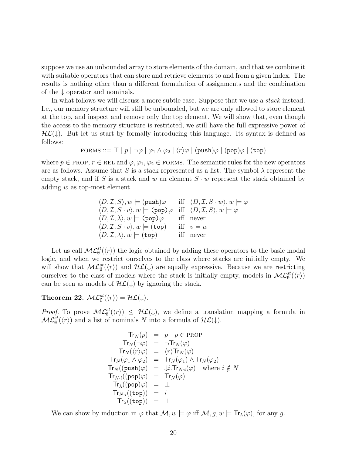suppose we use an unbounded array to store elements of the domain, and that we combine it with suitable operators that can store and retrieve elements to and from a given index. The results is nothing other than a different formulation of assignments and the combination of the ↓ operator and nominals.

In what follows we will discuss a more subtle case. Suppose that we use a *stack* instead. I.e., our memory structure will still be unbounded, but we are only allowed to store element at the top, and inspect and remove only the top element. We will show that, even though the access to the memory structure is restricted, we still have the full expressive power of  $\mathcal{HL}(\downarrow)$ . But let us start by formally introducing this language. Its syntax is defined as follows:

$$
\text{FORMS} ::= \top | p | \neg \varphi | \varphi_1 \land \varphi_2 | \langle r \rangle \varphi | (\text{push}) \varphi | (\text{pop}) \varphi | (\text{top})
$$

where  $p \in \text{PROP}, r \in \text{REL}$  and  $\varphi, \varphi_1, \varphi_2 \in \text{FORMS}$ . The semantic rules for the new operators are as follows. Assume that S is a stack represented as a list. The symbol  $\lambda$  represent the empty stack, and if S is a stack and w an element  $S \cdot w$  represent the stack obtained by adding w as top-most element.

$$
\langle D, \mathcal{I}, S \rangle, w \models (\text{push})\varphi \quad \text{ iff} \quad \langle D, \mathcal{I}, S \cdot w \rangle, w \models \varphi
$$
  

$$
\langle D, \mathcal{I}, S \cdot v \rangle, w \models (\text{pop})\varphi \quad \text{ iff} \quad \langle D, \mathcal{I}, S \rangle, w \models \varphi
$$
  

$$
\langle D, \mathcal{I}, \lambda \rangle, w \models (\text{pop})\varphi \quad \text{ iff} \quad \text{never}
$$
  

$$
\langle D, \mathcal{I}, S \cdot v \rangle, w \models (\text{top}) \quad \text{ iff} \quad v = w
$$
  

$$
\langle D, \mathcal{I}, \lambda \rangle, w \models (\text{top}) \quad \text{ iff} \quad \text{never}
$$

Let us call  $\mathcal{ML}_{\emptyset}^{st}(\langle r \rangle)$  the logic obtained by adding these operators to the basic modal logic, and when we restrict ourselves to the class where stacks are initially empty. We will show that  $\mathcal{ML}_{\emptyset}^{st}(\langle r \rangle)$  and  $\mathcal{HL}(\downarrow)$  are equally expressive. Because we are restricting ourselves to the class of models where the stack is initially empty, models in  $\mathcal{ML}_{\emptyset}^{st}(\langle r \rangle)$ can be seen as models of  $H\mathcal{L}(\downarrow)$  by ignoring the stack.

Theorem 22.  $\mathcal{ML}_{\emptyset}^{st}(\langle r \rangle) = \mathcal{HL}(\downarrow).$ 

*Proof.* To prove  $\mathcal{ML}_{\emptyset}^{st}(\langle r \rangle) \leq \mathcal{HL}(\downarrow)$ , we define a translation mapping a formula in  $\mathcal{ML}_{\emptyset}^{st}(\langle r \rangle)$  and a list of nominals N into a formula of  $\mathcal{HL}(\downarrow)$ .

$$
\begin{array}{rcl}\n\mathsf{Tr}_N(p) & = & p & p \in \text{PROP} \\
\mathsf{Tr}_N(\neg \varphi) & = & \neg \mathsf{Tr}_N(\varphi) \\
\mathsf{Tr}_N(\langle r \rangle \varphi) & = & \langle r \rangle \mathsf{Tr}_N(\varphi) \\
\mathsf{Tr}_N(\varphi_1 \land \varphi_2) & = & \mathsf{Tr}_N(\varphi_1) \land \mathsf{Tr}_N(\varphi_2) \\
\mathsf{Tr}_N((\text{push})\varphi) & = & \downarrow i.\mathsf{Tr}_{N \cdot i}(\varphi) \quad \text{where } i \notin N \\
\mathsf{Tr}_{N \cdot i}((\text{pop})\varphi) & = & \mathsf{Tr}_N(\varphi) \\
\mathsf{Tr}_N((\text{pop})\varphi) & = & \bot \\
\mathsf{Tr}_{N \cdot i}((\text{top})) & = & i \\
\mathsf{Tr}_N((\text{top})) & = & \bot\n\end{array}
$$

We can show by induction in  $\varphi$  that  $\mathcal{M}, w \models \varphi$  iff  $\mathcal{M}, g, w \models \text{Tr}_{\lambda}(\varphi)$ , for any g.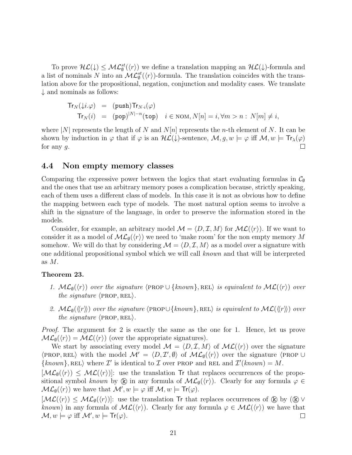To prove  $\mathcal{HL}(\downarrow) \leq \mathcal{ML}_{\emptyset}^{st}(\langle r \rangle)$  we define a translation mapping an  $\mathcal{HL}(\downarrow)$ -formula and a list of nominals N into an  $ML_{\emptyset}^{st}(\langle r \rangle)$ -formula. The translation coincides with the translation above for the propositional, negation, conjunction and modality cases. We translate  $\downarrow$  and nominals as follows:

$$
Tr_N(\downarrow i.\varphi) = (push)Tr_{N \cdot i}(\varphi)
$$
  
\n
$$
Tr_N(i) = (pop)^{|N|-n}(\text{top}) \quad i \in \text{NOM}, N[n] = i, \forall m > n : N[m] \neq i,
$$

where |N| represents the length of N and  $N[n]$  represents the n-th element of N. It can be shown by induction in  $\varphi$  that if  $\varphi$  is an  $\mathcal{HL}(\downarrow)$ -sentence,  $\mathcal{M}, g, w \models \varphi$  iff  $\mathcal{M}, w \models \text{Tr}_{\lambda}(\varphi)$ for any  $q$ .  $\Box$ 

### 4.4 Non empty memory classes

Comparing the expressive power between the logics that start evaluating formulas in  $\mathcal{C}_{\emptyset}$ and the ones that use an arbitrary memory poses a complication because, strictly speaking, each of them uses a different class of models. In this case it is not as obvious how to define the mapping between each type of models. The most natural option seems to involve a shift in the signature of the language, in order to preserve the information stored in the models.

Consider, for example, an arbitrary model  $\mathcal{M} = \langle D, \mathcal{I}, M \rangle$  for  $\mathcal{ML}(\langle r \rangle)$ . If we want to consider it as a model of  $\mathcal{ML}_{\emptyset}(\langle r \rangle)$  we need to 'make room' for the non empty memory M somehow. We will do that by considering  $\mathcal{M} = \langle D, \mathcal{I}, M \rangle$  as a model over a signature with one additional propositional symbol which we will call known and that will be interpreted as M.

### Theorem 23.

- 1.  $\mathcal{ML}_{\emptyset}(\langle r \rangle)$  over the signature  $\langle \text{PROP} \cup \{known\}, \text{REL} \rangle$  is equivalent to  $\mathcal{ML}(\langle r \rangle)$  over the signature  $\langle$ PROP, REL $\rangle$ .
- 2.  $\mathcal{ML}_{\emptyset}(\langle\!\langle r \rangle\!\rangle)$  over the signature  $\langle \text{PROPU}\{\text{known}\}, \text{REL}\rangle$  is equivalent to  $\mathcal{ML}(\langle\!\langle r \rangle\!\rangle)$  over the signature  $\langle$ PROP, REL $\rangle$ .

Proof. The argument for 2 is exactly the same as the one for 1. Hence, let us prove  $\mathcal{ML}_{\emptyset}(\langle r \rangle) = \mathcal{ML}(\langle r \rangle)$  (over the appropriate signatures).

We start by associating every model  $\mathcal{M} = \langle D, \mathcal{I}, M \rangle$  of  $\mathcal{ML}(\langle r \rangle)$  over the signature  $\langle$ PROP, REL) with the model  $\mathcal{M}' = \langle D, \mathcal{I}', \emptyset \rangle$  of  $\mathcal{ML}_{\emptyset}(\langle r \rangle)$  over the signature  $\langle$ PROP ∪  $\{known\}, \text{REL}\}$  where  $\mathcal{I}'$  is identical to  $\mathcal I$  over PROP and REL and  $\mathcal{I}'(known) = M$ .

 $[\mathcal{ML}_{\emptyset}(\langle r \rangle) \leq \mathcal{ML}(\langle r \rangle)]$ : use the translation Tr that replaces occurrences of the propositional symbol known by  $\mathbb R$  in any formula of  $\mathcal{ML}_{\emptyset}(\langle r \rangle)$ . Clearly for any formula  $\varphi \in$  $\mathcal{ML}_{\emptyset}(\langle r \rangle)$  we have that  $\mathcal{M}', w \models \varphi$  iff  $\mathcal{M}, w \models \mathsf{Tr}(\varphi)$ .

 $[\mathcal{ML}(\langle r \rangle) \leq \mathcal{ML}_{\emptyset}(\langle r \rangle)]$ : use the translation Tr that replaces occurrences of  $(\mathbb{R})$  by  $(\mathbb{R}) \vee$ known) in any formula of  $ML(\langle r \rangle)$ . Clearly for any formula  $\varphi \in ML(\langle r \rangle)$  we have that  $\mathcal{M}, w \models \varphi \text{ iff } \mathcal{M}', w \models \mathsf{Tr}(\varphi).$  $\Box$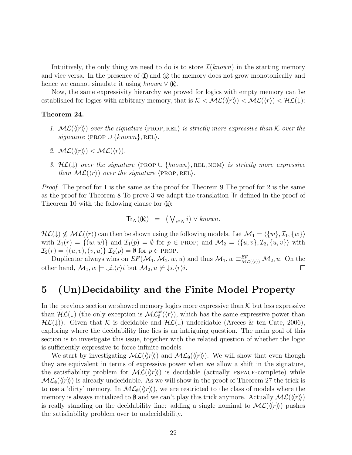Intuitively, the only thing we need to do is to store  $\mathcal{I}(known)$  in the starting memory and vice versa. In the presence of  $(f)$  and  $(g)$  the memory does not grow monotonically and hence we cannot simulate it using  $known \vee (k)$ .

Now, the same expressivity hierarchy we proved for logics with empty memory can be established for logics with arbitrary memory, that is  $\mathcal{K} < \mathcal{ML}(\langle r \rangle) < \mathcal{ML}(\langle r \rangle) < \mathcal{HL}(\downarrow):$ 

#### Theorem 24.

- 1.  $ML(\langle r \rangle)$  over the signature  $\langle$ PROP, REL $\rangle$  is strictly more expressive than K over the signature  $\langle$ PROP ∪  $\{known\}$ , REL $\rangle$ .
- 2.  $ML(\langle\!\langle r \rangle\!\rangle) < ML(\langle r \rangle)$ .
- 3.  $H\mathcal{L}(\downarrow)$  over the signature  $\text{PROP} \cup \{known\}$ , REL, NOM) is strictly more expressive than  $ML(\langle r \rangle)$  over the signature  $\langle$ PROP, REL $\rangle$ .

Proof. The proof for 1 is the same as the proof for Theorem 9 The proof for 2 is the same as the proof for Theorem 8 To prove 3 we adapt the translation Tr defined in the proof of Theorem 10 with the following clause for  $(\mathbf{k})$ :

$$
\mathsf{Tr}_N(\mathbb{Q}) = (\bigvee_{i \in N} i) \vee known.
$$

 $H\mathcal{L}(\downarrow) \nleq \mathcal{ML}(\langle r \rangle)$  can then be shown using the following models. Let  $\mathcal{M}_1 = \langle \{w\}, \mathcal{I}_1, \{w\} \rangle$ with  $\mathcal{I}_1(r) = \{(w, w)\}\$ and  $\mathcal{I}_1(p) = \emptyset$  for  $p \in \text{PROP}$ ; and  $\mathcal{M}_2 = \langle \{u, v\}, \mathcal{I}_2, \{u, v\}\rangle$  with  $\mathcal{I}_2(r) = \{(u, v), (v, u)\} \mathcal{I}_2(p) = \emptyset$  for  $p \in \text{PROP}$ .

Duplicator always wins on  $EF(\mathcal{M}_1, \mathcal{M}_2, w, u)$  and thus  $\mathcal{M}_1, w \equiv_{\mathcal{ML}(\langle r \rangle)}^{EF} \mathcal{M}_2, u$ . On the other hand,  $\mathcal{M}_1, w \models \downarrow i. \langle r \rangle i$  but  $\mathcal{M}_2, u \not\models \downarrow i. \langle r \rangle i$ .  $\Box$ 

# 5 (Un)Decidability and the Finite Model Property

In the previous section we showed memory logics more expressive than  $K$  but less expressive than  $\mathcal{HL}(\downarrow)$  (the only exception is  $\mathcal{ML}_{\emptyset}^{st}(\langle r \rangle)$ , which has the same expressive power than  $H\mathcal{L}(\downarrow)$ . Given that K is decidable and  $H\mathcal{L}(\downarrow)$  undecidable (Areces & ten Cate, 2006), exploring where the decidability line lies is an intriguing question. The main goal of this section is to investigate this issue, together with the related question of whether the logic is sufficiently expressive to force infinite models.

We start by investigating  $ML(\langle\langle r \rangle\rangle)$  and  $ML_{\emptyset}(\langle\langle r \rangle\rangle)$ . We will show that even though they are equivalent in terms of expressive power when we allow a shift in the signature, the satisfiability problem for  $ML(\langle r \rangle)$  is decidable (actually PSPACE-complete) while  $ML_{\emptyset}(\langle\!\langle r \rangle\!\rangle)$  is already undecidable. As we will show in the proof of Theorem 27 the trick is to use a 'dirty' memory. In  $ML_{\emptyset}(\langle\!\langle r \rangle\!\rangle)$ , we are restricted to the class of models where the memory is always initialized to  $\emptyset$  and we can't play this trick anymore. Actually  $\mathcal{ML}(\langle r \rangle)$ is really standing on the decidability line: adding a single nominal to  $ML(\langle r \rangle)$  pushes the satisfiability problem over to undecidability.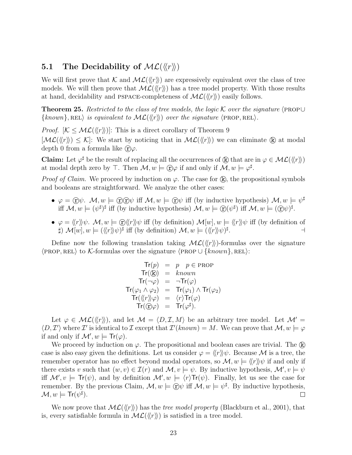## 5.1 The Decidability of  $ML(\langle\langle r\rangle\rangle)$

We will first prove that K and  $ML(\langle r \rangle)$  are expressively equivalent over the class of tree models. We will then prove that  $ML(\langle\langle r \rangle\rangle)$  has a tree model property. With those results at hand, decidability and PSPACE-completeness of  $ML(\langle\langle r \rangle\rangle)$  easily follows.

**Theorem 25.** Restricted to the class of tree models, the logic K over the signature  $\langle \text{PROP}\cup \text{C} \rangle$  ${k \nown}, \text{REL}$  is equivalent to  $ML(\langle r \rangle)$  over the signature  $\langle \text{PROP}, \text{REL} \rangle$ .

*Proof.*  $[K \leq M\mathcal{L}(\langle\langle r \rangle\rangle)]$ : This is a direct corollary of Theorem 9  $[\mathcal{ML}(\langle\!\langle r \rangle\!\rangle) \leq \mathcal{K}]$ : We start by noticing that in  $\mathcal{ML}(\langle\!\langle r \rangle\!\rangle)$  we can eliminate  $\mathbb{R}$  at modal depth 0 from a formula like  $\hat{\mathbf{r}}\varphi$ .

**Claim:** Let  $\varphi^{\sharp}$  be the result of replacing all the occurrences of  $\circledR$  that are in  $\varphi \in \mathcal{ML}(\langle\!\langle r \rangle\!\rangle)$ at modal depth zero by  $\top$ . Then  $\mathcal{M}, w \models \textcircled{r} \varphi$  if and only if  $\mathcal{M}, w \models \varphi^{\sharp}$ .

*Proof of Claim.* We proceed by induction on  $\varphi$ . The case for  $(\mathbf{k})$ , the propositional symbols and booleans are straightforward. We analyze the other cases:

- $\varphi = \mathbb{C} \psi$ .  $\mathcal{M}, w \models \mathbb{C} \mathbb{C} \psi$  iff  $\mathcal{M}, w \models \mathbb{C} \psi$  iff (by inductive hypothesis)  $\mathcal{M}, w \models \psi^{\sharp}$ iff  $\mathcal{M}, w \models (\psi^{\sharp})^{\sharp}$  iff (by inductive hypothesis)  $\mathcal{M}, w \models \mathfrak{D}(\psi^{\sharp})$  iff  $\mathcal{M}, w \models (\mathfrak{D}\psi)^{\sharp}$ .
- $\varphi = \langle r \rangle \psi$ . M,  $w \models \widehat{\mathcal{L}} \langle r \rangle \psi$  iff (by definition)  $\mathcal{M}[w], w \models \langle \langle r \rangle \psi$  iff (by definition of  $\sharp \mathfrak{h} \mathcal{M}[w], w \models (\langle\!\langle r \rangle\!\rangle \psi)^\sharp \text{ iff (by definition)} \mathcal{M}, w \models (\langle\!\langle r \rangle\!\rangle \psi)^\sharp$ . a

Define now the following translation taking  $ML(\langle\langle r\rangle\rangle)$ -formulas over the signature  $\langle$ PROP, REL) to K-formulas over the signature  $\langle$ PROP ∪  $\{known\}$ , REL):

$$
Tr(p) = p \ p \in PROP
$$
  
\n
$$
Tr(\textcircled{\textbf{E}}) = \text{known}
$$
  
\n
$$
Tr(\neg \varphi) = \neg Tr(\varphi)
$$
  
\n
$$
Tr(\varphi_1 \land \varphi_2) = Tr(\varphi_1) \land Tr(\varphi_2)
$$
  
\n
$$
Tr(\langle \langle r \rangle \rangle \varphi) = \langle r \rangle Tr(\varphi)
$$
  
\n
$$
Tr(\textcircled{\textbf{E}}) = Tr(\varphi^{\sharp}).
$$

Let  $\varphi \in ML(\langle\!\langle r \rangle\!\rangle),$  and let  $\mathcal{M} = \langle D, \mathcal{I}, M \rangle$  be an arbitrary tree model. Let  $\mathcal{M}' =$  $\langle D, \mathcal{I}' \rangle$  where  $\mathcal{I}'$  is identical to  $\mathcal{I}$  except that  $\mathcal{I}'(known) = M$ . We can prove that  $\mathcal{M}, w \models \varphi$ if and only if  $\mathcal{M}'$ ,  $w \models \mathsf{Tr}(\varphi)$ .

We proceed by induction on  $\varphi$ . The propositional and boolean cases are trivial. The  $\circledR$ case is also easy given the definitions. Let us consider  $\varphi = \langle \langle r \rangle \rangle \psi$ . Because M is a tree, the remember operator has no effect beyond modal operators, so  $\mathcal{M}, w \models \langle\langle r \rangle\rangle \psi$  if and only if there exists v such that  $(w, v) \in \mathcal{I}(r)$  and  $\mathcal{M}, v \models \psi$ . By inductive hypothesis,  $\mathcal{M}', v \models \psi$ iff  $\mathcal{M}'$ ,  $v \models \text{Tr}(\psi)$ , and by definition  $\mathcal{M}'$ ,  $w \models \langle r \rangle \text{Tr}(\psi)$ . Finally, let us see the case for remember. By the previous Claim,  $\mathcal{M}, w \models \textcircled{f} \psi$  iff  $\mathcal{M}, w \models \psi^{\sharp}$ . By inductive hypothesis,  $\mathcal{M}, w \models \mathsf{Tr}(\psi^\sharp).$  $\Box$ 

We now prove that  $ML(\langle r \rangle)$  has the *tree model property* (Blackburn et al., 2001), that is, every satisfiable formula in  $ML(\langle\langle r \rangle\rangle)$  is satisfied in a tree model.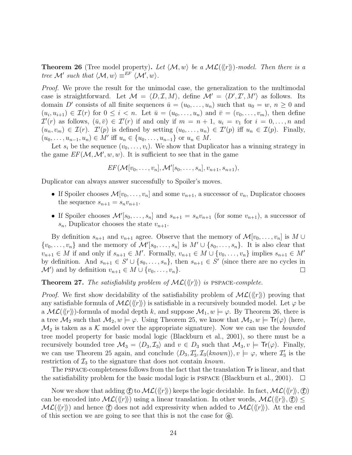**Theorem 26** (Tree model property). Let  $\langle M, w \rangle$  be a  $ML(\langle \langle r \rangle \rangle)$ -model. Then there is a tree M' such that  $\langle \mathcal{M}, w \rangle \equiv^{EF} \langle \mathcal{M}', w \rangle$ .

Proof. We prove the result for the unimodal case, the generalization to the multimodal case is straightforward. Let  $\mathcal{M} = \langle D, \mathcal{I}, M \rangle$ , define  $\mathcal{M}' = \langle D', \mathcal{I}', M' \rangle$  as follows. Its domain D' consists of all finite sequences  $\bar{u} = (u_0, \ldots, u_n)$  such that  $u_0 = w, n \geq 0$  and  $(u_i, u_{i+1}) \in \mathcal{I}(r)$  for  $0 \leq i < n$ . Let  $\bar{u} = (u_0, \ldots, u_n)$  and  $\bar{v} = (v_0, \ldots, v_m)$ , then define  $\mathcal{I}'(r)$  as follows,  $(\bar{u}, \bar{v}) \in \mathcal{I}'(r)$  if and only if  $m = n + 1$ ,  $u_i = v_1$  for  $i = 0, \ldots, n$  and  $(u_n, v_m) \in \mathcal{I}(r)$ .  $\mathcal{I}'(p)$  is defined by setting  $(u_0, \ldots, u_n) \in \mathcal{I}'(p)$  iff  $u_n \in \mathcal{I}(p)$ . Finally,  $(u_0, \ldots, u_{n-1}, u_n) \in M'$  iff  $u_n \in \{u_0, \ldots, u_{n-1}\}$  or  $u_n \in M$ .

Let  $s_i$  be the sequence  $(v_0, \ldots, v_i)$ . We show that Duplicator has a winning strategy in the game  $EF(\mathcal{M}, \mathcal{M}', w, w)$ . It is sufficient to see that in the game

$$
EF(\mathcal{M}[v_0,\ldots,v_n],\mathcal{M}'[s_0,\ldots,s_n],v_{n+1},s_{n+1}),
$$

Duplicator can always answer successfully to Spoiler's moves.

- If Spoiler chooses  $\mathcal{M}[v_0, \ldots, v_n]$  and some  $v_{n+1}$ , a successor of  $v_n$ , Duplicator chooses the sequence  $s_{n+1} = s_n v_{n+1}$ .
- If Spoiler chooses  $\mathcal{M}'[s_0,\ldots,s_n]$  and  $s_{n+1} = s_n v_{n+1}$  (for some  $v_{n+1}$ ), a successor of  $s_n$ , Duplicator chooses the state  $v_{n+1}$ .

By definition  $s_{n+1}$  and  $v_{n+1}$  agree. Observe that the memory of  $\mathcal{M}[v_0, \ldots, v_n]$  is  $M \cup$  $\{v_0, \ldots, v_n\}$  and the memory of  $\mathcal{M}'[s_0, \ldots, s_n]$  is  $M' \cup \{s_0, \ldots, s_n\}$ . It is also clear that  $v_{n+1} \in M$  if and only if  $s_{n+1} \in M'$ . Formally,  $v_{n+1} \in M \cup \{v_0, \ldots, v_n\}$  implies  $s_{n+1} \in M'$ by definition. And  $s_{n+1} \in S' \cup \{s_0, \ldots, s_n\}$ , then  $s_{n+1} \in S'$  (since there are no cycles in  $\mathcal{M}'$  and by definition  $v_{n+1} \in M \cup \{v_0, \ldots, v_n\}.$  $\Box$ 

**Theorem 27.** The satisfiability problem of  $ML(\langle r \rangle)$  is PSPACE-complete.

*Proof.* We first show decidability of the satisfiability problem of  $ML(\langle r \rangle)$  proving that any satisfiable formula of  $ML(\langle r \rangle)$  is satisfiable in a recursively bounded model. Let  $\varphi$  be a  $ML(\langle\langle r\rangle\rangle)$ -formula of modal depth k, and suppose  $\mathcal{M}_1, w \models \varphi$ . By Theorem 26, there is a tree  $\mathcal{M}_2$  such that  $\mathcal{M}_2, w \models \varphi$ . Using Theorem 25, we know that  $\mathcal{M}_2, w \models \text{Tr}(\varphi)$  (here,  $\mathcal{M}_2$  is taken as a K model over the appropriate signature). Now we can use the *bounded* tree model property for basic modal logic (Blackburn et al., 2001), so there must be a recursively bounded tree  $\mathcal{M}_3 = \langle D_3, \mathcal{I}_3 \rangle$  and  $v \in D_3$  such that  $\mathcal{M}_3$ ,  $v \models \mathsf{Tr}(\varphi)$ . Finally, we can use Theorem 25 again, and conclude  $\langle D_3, \mathcal{I}'_3, \mathcal{I}_3(known) \rangle$ ,  $v \models \varphi$ , where  $\mathcal{I}'_3$  is the restriction of  $\mathcal{I}_3$  to the signature that does not contain known.

The pspace-completeness follows from the fact that the translation Tr is linear, and that the satisfiability problem for the basic modal logic is pspace (Blackburn et al., 2001).  $\Box$ 

Now we show that adding  $\langle f \rangle$  to  $\mathcal{ML}(\langle\!\langle r \rangle\!\rangle)$  keeps the logic decidable. In fact,  $\mathcal{ML}(\langle\!\langle r \rangle\!\rangle,\langle f \rangle)$ can be encoded into  $ML(\langle r \rangle)$  using a linear translation. In other words,  $ML(\langle r \rangle, \textbf{f}) \leq$  $ML(\langle r \rangle)$  and hence (f) does not add expressivity when added to  $ML(\langle r \rangle)$ . At the end of this section we are going to see that this is not the case for  $\Theta$ .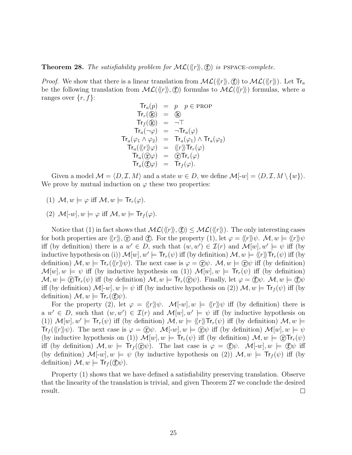**Theorem 28.** The satisfiability problem for  $ML(\langle r \rangle, \text{F})$  is pspace-complete.

*Proof.* We show that there is a linear translation from  $ML(\langle\langle r \rangle\rangle, \text{C})$  to  $ML(\langle\langle r \rangle\rangle)$ . Let  $Tr_a$ be the following translation from  $ML(\langle\langle r\rangle\rangle,\mathbf{f})$  formulas to  $ML(\langle\langle r\rangle\rangle)$  formulas, where a ranges over  $\{r, f\}$ :

$$
\begin{array}{rcl}\n\operatorname{Tr}_a(p) & = & p & p \in \text{PROP} \\
\operatorname{Tr}_r(\textcircled{k}) & = & \textcircled{k} \\
\operatorname{Tr}_f(\textcircled{k}) & = & \neg \top \\
\operatorname{Tr}_a(\neg \varphi) & = & \neg \operatorname{Tr}_a(\varphi) \\
\operatorname{Tr}_a(\varphi_1 \land \varphi_2) & = & \operatorname{Tr}_a(\varphi_1) \land \operatorname{Tr}_a(\varphi_2) \\
\operatorname{Tr}_a(\langle \langle r \rangle \rangle \varphi) & = & \langle \langle r \rangle \rangle \operatorname{Tr}_r(\varphi) \\
\operatorname{Tr}_a(\textcircled{C}\varphi) & = & \textcircled{Tr}_r(\varphi) \\
\operatorname{Tr}_a(\textcircled{C}\varphi) & = & \operatorname{Tr}_f(\varphi).\n\end{array}
$$

Given a model  $\mathcal{M} = \langle D, \mathcal{I}, M \rangle$  and a state  $w \in D$ , we define  $\mathcal{M}[-w] = \langle D, \mathcal{I}, M \setminus \{w\}\rangle$ . We prove by mutual induction on  $\varphi$  these two properties:

- (1)  $\mathcal{M}, w \models \varphi$  iff  $\mathcal{M}, w \models \text{Tr}_r(\varphi)$ .
- (2)  $\mathcal{M}[\neg w], w \models \varphi \text{ iff } \mathcal{M}, w \models \text{Tr}_f(\varphi).$

Notice that (1) in fact shows that  $ML(\langle\langle r\rangle\rangle,\mathbf{f}) \leq ML(\langle\langle r\rangle\rangle)$ . The only interesting cases for both properties are  $\langle r \rangle$ ,  $\hat{r}$  and  $\hat{r}$ . For the property (1), let  $\varphi = \langle \langle r \rangle \rangle \psi$ .  $\mathcal{M}, w \models \langle \langle r \rangle \rangle \psi$ iff (by definition) there is a  $w' \in D$ , such that  $(w, w') \in \mathcal{I}(r)$  and  $\mathcal{M}[w], w' \models \psi$  iff (by inductive hypothesis on (i))  $\mathcal{M}[w], w' \models \text{Tr}_r(\psi)$  iff (by definition)  $\mathcal{M}, w \models \langle\!\langle r \rangle\!\rangle \text{Tr}_r(\psi)$  iff (by definition)  $\mathcal{M}, w \models \text{Tr}_r(\langle r \rangle \rangle \psi)$ . The next case is  $\varphi = \widehat{r} \mathcal{W}$ .  $\mathcal{M}, w \models \widehat{r} \mathcal{W}$  iff (by definition)  $\mathcal{M}[w], w \models \psi$  iff (by inductive hypothesis on (1))  $\mathcal{M}[w], w \models Tr_r(\psi)$  iff (by definition)  $\mathcal{M}, w \models \widehat{\mathcal{F}}$ Tr<sub>r</sub> $(\psi)$  iff (by definition)  $\mathcal{M}, w \models \mathrm{Tr}_r(\widehat{\mathcal{F}})\psi$ . Finally, let  $\varphi = \widehat{\mathcal{F}}\psi$ .  $\mathcal{M}, w \models \widehat{\mathcal{F}}\psi$ iff (by definition)  $\mathcal{M}[\cdot w], w \models \psi$  iff (by inductive hypothesis on (2))  $\mathcal{M}, w \models \text{Tr}_f(\psi)$  iff (by definition)  $\mathcal{M}, w \models \mathsf{Tr}_r(\mathbf{f})\psi$ .

For the property (2), let  $\varphi = \langle r \rangle \psi$ .  $\mathcal{M}[-w], w \models \langle r \rangle \psi$  iff (by definition) there is a  $w' \in D$ , such that  $(w, w') \in \mathcal{I}(r)$  and  $\mathcal{M}[w], w' \models \psi$  iff (by inductive hypothesis on (1))  $\mathcal{M}[w], w' \models \text{Tr}_r(\psi)$  iff (by definition)  $\mathcal{M}, w \models \langle\!\langle r \rangle\rangle \text{Tr}_r(\psi)$  iff (by definition)  $\mathcal{M}, w \models$  $Tr_f(\langle\!\langle r \rangle\rangle\psi)$ . The next case is  $\varphi = \hat{v}\psi$ .  $\mathcal{M}[\neg w], w \models \hat{v}\psi$  iff (by definition)  $\mathcal{M}[w], w \models \psi$ (by inductive hypothesis on (1))  $\mathcal{M}[w], w \models \text{Tr}_r(\psi)$  iff (by definition)  $\mathcal{M}, w \models \text{Tr}_r(\psi)$ iff (by definition)  $\mathcal{M}, w \models \text{Tr}_f(\mathbb{C} \psi)$ . The last case is  $\varphi = \mathbb{C} \psi$ .  $\mathcal{M}[\neg w], w \models \mathbb{C} \psi$  iff (by definition)  $\mathcal{M}[\cdot w], w \models \psi$  (by inductive hypothesis on (2))  $\mathcal{M}, w \models Tr_f(\psi)$  iff (by definition)  $\mathcal{M}, w \models \mathsf{Tr}_f(\mathbb{D}\psi)$ .

Property (1) shows that we have defined a satisfiability preserving translation. Observe that the linearity of the translation is trivial, and given Theorem 27 we conclude the desired result.  $\Box$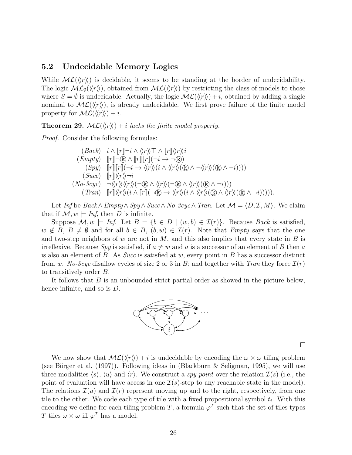### 5.2 Undecidable Memory Logics

While  $ML(\langle r \rangle)$  is decidable, it seems to be standing at the border of undecidability. The logic  $ML_{\emptyset}(\langle\!\langle r \rangle\!\rangle)$ , obtained from  $ML(\langle\!\langle r \rangle\!\rangle)$  by restricting the class of models to those where  $S = \emptyset$  is undecidable. Actually, the logic  $\mathcal{ML}(\langle r \rangle) + i$ , obtained by adding a single nominal to  $ML(\langle r \rangle)$ , is already undecidable. We first prove failure of the finite model property for  $ML(\langle\!\langle r \rangle\!\rangle) + i$ .

**Theorem 29.**  $ML(\langle\langle r \rangle\rangle) + i$  lacks the finite model property.

Proof. Consider the following formulas:

$$
(Back) \quad i \wedge [r] \neg i \wedge \langle\langle r \rangle\rangle \top \wedge [r] \langle\langle r \rangle\rangle i
$$
\n
$$
(Empty) \quad [r] \neg \& \wedge [r] [r] \neg (\neg i \rightarrow \neg \& )
$$
\n
$$
(Syn) \quad [r] \neg \& \wedge [r] [r] \neg (\neg i \rightarrow \neg \& )
$$
\n
$$
(Syn) \quad [r] \neg [r] \neg (\neg i \rightarrow \langle\langle r \rangle\rangle (i \wedge \langle\langle r \rangle\rangle (\& \wedge \neg \langle\langle r \rangle\rangle (\& \wedge \neg i))))
$$
\n
$$
(Succ) \quad [r] \langle\langle r \rangle\rangle \neg i
$$
\n
$$
(No-3cyc) \quad \neg \langle\langle r \rangle\rangle \langle\langle r \rangle\rangle (\neg \& \wedge \langle\langle r \rangle\rangle (\neg \& \wedge \langle\langle r \rangle\rangle (\& \wedge \neg i)))
$$
\n
$$
(Tran) \quad [r] \langle\langle r \rangle\rangle (i \wedge [r] \neg \& \rightarrow \langle\langle r \rangle\rangle (i \wedge \langle\langle r \rangle\rangle (\& \wedge \langle r \rangle\rangle (\& \wedge \neg i))))
$$

Let Inf be Back∧ Empty∧ Spy∧ Succ∧ No-3cyc∧ Tran. Let  $\mathcal{M} = \langle D, \mathcal{I}, M \rangle$ . We claim that if  $\mathcal{M}, w \models \textit{Inf},$  then D is infinite.

Suppose  $\mathcal{M}, w \models \textit{Inf. Let } B = \{b \in D \mid (w, b) \in \mathcal{I}(r)\}.$  Because Back is satisfied,  $w \notin B$ ,  $B \neq \emptyset$  and for all  $b \in B$ ,  $(b, w) \in \mathcal{I}(r)$ . Note that *Empty* says that the one and two-step neighbors of w are not in  $M$ , and this also implies that every state in  $B$  is irreflexive. Because Spy is satisfied, if  $a \neq w$  and a is a successor of an element of B then a is also an element of  $B$ . As *Succ* is satisfied at  $w$ , every point in  $B$  has a successor distinct from w. No-3cyc disallow cycles of size 2 or 3 in B; and together with Tran they force  $\mathcal{I}(r)$ to transitively order B.

It follows that  $B$  is an unbounded strict partial order as showed in the picture below, hence infinite, and so is D.



 $\Box$ 

We now show that  $ML(\langle r \rangle) + i$  is undecidable by encoding the  $\omega \times \omega$  tiling problem (see Börger et al.  $(1997)$ ). Following ideas in (Blackburn & Seligman, 1995), we will use three modalities  $\langle s \rangle$ ,  $\langle u \rangle$  and  $\langle r \rangle$ . We construct a spy point over the relation  $\mathcal{I}(s)$  (i.e., the point of evaluation will have access in one  $\mathcal{I}(s)$ -step to any reachable state in the model). The relations  $\mathcal{I}(u)$  and  $\mathcal{I}(r)$  represent moving up and to the right, respectively, from one tile to the other. We code each type of tile with a fixed propositional symbol  $t_i$ . With this encoding we define for each tiling problem T, a formula  $\varphi^T$  such that the set of tiles types T tiles  $\omega \times \omega$  iff  $\varphi^T$  has a model.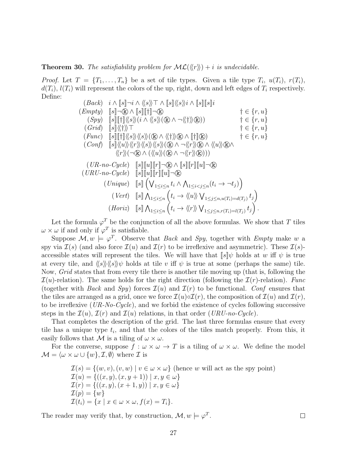### **Theorem 30.** The satisfiability problem for  $ML(\langle\langle r \rangle\rangle) + i$  is undecidable.

*Proof.* Let  $T = \{T_1, \ldots, T_n\}$  be a set of tile types. Given a tile type  $T_i$ ,  $u(T_i)$ ,  $r(T_i)$ ,  $d(T_i)$ ,  $l(T_i)$  will represent the colors of the up, right, down and left edges of  $T_i$  respectively. Define:

$$
(Back) i \wedge [s] \neg i \wedge \langle \langle s \rangle \rangle \top \wedge [s] \langle \langle s \rangle \rangle i \wedge [s] [s] i
$$
\n
$$
(Empty) [s] \neg \& \wedge [s] [†] \neg \& \qquad t \in \{r, u\}
$$
\n
$$
(Syn) [s] \uparrow \& \wedge \langle \langle s \rangle \rangle (i \wedge \langle \langle s \rangle \rangle (\& \wedge \neg \langle \langle \uparrow \rangle \rangle \&)) \qquad t \in \{r, u\}
$$
\n
$$
(Grid) [s] \langle \uparrow \rangle \top \qquad t \in \{r, u\}
$$
\n
$$
(Find) [s] \langle \langle \uparrow \rangle \rangle \top \qquad t \in \{r, u\}
$$
\n
$$
(Conf) [s] \langle \langle u \rangle \rangle \langle \langle s \rangle \rangle (\& \wedge \langle \uparrow \rangle \& \wedge \langle \uparrow \rangle \& \wedge \langle \langle u \rangle \& \wedge \langle \langle u \rangle \& \wedge \langle \langle u \rangle \& \wedge \langle \langle u \rangle \& \wedge \langle \langle u \rangle \& \wedge \langle \langle u \rangle \& \wedge \langle \langle u \rangle \& \wedge \langle \langle u \rangle \& \wedge \langle \langle u \rangle \& \wedge \langle \langle u \rangle \& \wedge \langle \langle u \rangle \& \wedge \langle \langle u \rangle \& \wedge \langle \langle u \rangle \& \wedge \langle \langle u \rangle \& \wedge \langle \langle u \rangle \& \wedge \langle \langle u \rangle \& \wedge \langle \langle u \rangle \& \wedge \langle \langle u \rangle \& \wedge \langle \langle u \rangle \& \wedge \langle \langle u \rangle \& \wedge \langle \langle u \rangle \& \wedge \langle \langle u \rangle \& \wedge \langle \langle u \rangle \& \wedge \langle \langle u \rangle \& \wedge \langle \langle u \rangle \& \wedge \langle \langle u \rangle \& \wedge \langle \langle u \rangle \& \wedge \langle \langle u \rangle \& \wedge \langle \langle u \rangle \& \wedge \langle \langle u \rangle \& \wedge \langle \langle u \rangle \&
$$

Let the formula  $\varphi^T$  be the conjunction of all the above formulas. We show that T tiles  $\omega \times \omega$  if and only if  $\varphi^T$  is satisfiable.

Suppose  $\mathcal{M}, w \models \varphi^T$ . Observe that Back and Spy, together with Empty make w a spy via  $\mathcal{I}(s)$  (and also force  $\mathcal{I}(u)$  and  $\mathcal{I}(r)$  to be irreflexive and asymmetric). These  $\mathcal{I}(s)$ accessible states will represent the tiles. We will have that  $[s]\psi$  holds at w iff  $\psi$  is true at every tile, and  $\langle s \rangle \langle s \rangle \psi$  holds at tile v iff  $\psi$  is true at some (perhaps the same) tile. Now, Grid states that from every tile there is another tile moving up (that is, following the  $\mathcal{I}(u)$ -relation). The same holds for the right direction (following the  $\mathcal{I}(r)$ -relation). Func (together with *Back* and Spy) forces  $\mathcal{I}(u)$  and  $\mathcal{I}(r)$  to be functional. Conf ensures that the tiles are arranged as a grid, once we force  $\mathcal{I}(u) \circ \mathcal{I}(r)$ , the composition of  $\mathcal{I}(u)$  and  $\mathcal{I}(r)$ , to be irreflexive (UR-No-Cycle), and we forbid the existence of cycles following successive steps in the  $\mathcal{I}(u)$ ,  $\mathcal{I}(r)$  and  $\mathcal{I}(u)$  relations, in that order (URU-no-Cycle).

That completes the description of the grid. The last three formulas ensure that every tile has a unique type  $t_i$ , and that the colors of the tiles match properly. From this, it easily follows that M is a tiling of  $\omega \times \omega$ .

For the converse, suppose  $f : \omega \times \omega \to T$  is a tiling of  $\omega \times \omega$ . We define the model  $\mathcal{M} = \langle \omega \times \omega \cup \{w\}, \mathcal{I}, \emptyset \rangle$  where  $\mathcal{I}$  is

> $\mathcal{I}(s) = \{(w, v), (v, w) \mid v \in \omega \times \omega\}$  (hence w will act as the spy point)  $\mathcal{I}(u) = \{((x, y), (x, y + 1)) \mid x, y \in \omega\}$  $\mathcal{I}(r) = \{((x, y), (x + 1, y)) \mid x, y \in \omega\}$  $\mathcal{I}(p) = \{w\}$  $\mathcal{I}(t_i) = \{x \mid x \in \omega \times \omega, f(x) = T_i\}.$

The reader may verify that, by construction,  $\mathcal{M}, w \models \varphi^T$ .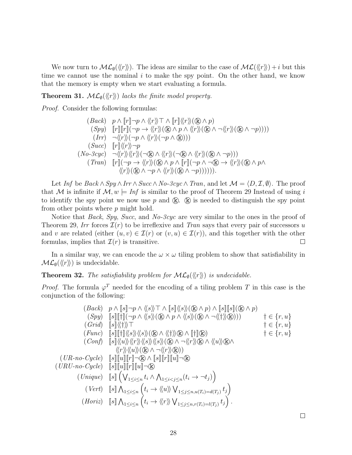We now turn to  $ML_{\emptyset}(\langle\!\langle r \rangle\!\rangle)$ . The ideas are similar to the case of  $ML(\langle\!\langle r \rangle\!\rangle) + i$  but this time we cannot use the nominal  $i$  to make the spy point. On the other hand, we know that the memory is empty when we start evaluating a formula.

**Theorem 31.**  $\mathcal{ML}_{\emptyset}(\langle\!\langle r \rangle\!\rangle)$  lacks the finite model property.

Proof. Consider the following formulas:

$$
(Back) p \wedge [r] \neg p \wedge \langle\langle r \rangle\rangle \top \wedge [r] \langle\langle r \rangle\rangle (\mathbb{B} \wedge p)
$$
  
\n
$$
(Spy) [r] [r] (\neg p \rightarrow \langle\langle r \rangle\rangle (\mathbb{B} \wedge p \wedge \langle\langle r \rangle\rangle (\mathbb{B} \wedge \neg \langle\langle r \rangle\rangle (\mathbb{B} \wedge \neg p))))
$$
  
\n
$$
(Irr) \neg \langle\langle r \rangle\rangle (\neg p \wedge \langle\langle r \rangle\rangle (\neg p \wedge \mathbb{B})))
$$
  
\n
$$
(Succ) [r] \langle\langle r \rangle\rangle \neg p
$$
  
\n
$$
(No-3cyc) \neg \langle\langle r \rangle\rangle \langle\langle r \rangle\rangle (\neg \mathbb{B} \wedge \langle\langle r \rangle\rangle (\neg \mathbb{B} \wedge \langle\langle r \rangle\rangle (\mathbb{B} \wedge \neg p)))
$$
  
\n
$$
(Tran) [r] (\neg p \rightarrow \langle\langle r \rangle\rangle (\mathbb{B} \wedge p \wedge [r] (\neg p \wedge \neg \mathbb{B} \rightarrow \langle\langle r \rangle\rangle (\mathbb{B} \wedge p \wedge \langle\langle r \rangle \vee \neg p))))
$$
  
\n
$$
\langle\langle r \rangle\rangle (\mathbb{B} \wedge \neg p \wedge \langle\langle r \rangle\rangle (\mathbb{B} \wedge \neg p))))
$$

Let Inf be Back  $\land$  Spy  $\land$  Irr  $\land$  Succ  $\land$  No-3cyc  $\land$  Tran, and let  $\mathcal{M} = \langle D, \mathcal{I}, \emptyset \rangle$ . The proof that M is infinite if  $\mathcal{M}, w \models Inf$  is similar to the proof of Theorem 29 Instead of using i to identify the spy point we now use p and  $(k)$ .  $(k)$  is needed to distinguish the spy point from other points where p might hold.

Notice that *Back*, Spy, Succ, and *No-3cyc* are very similar to the ones in the proof of Theorem 29, Irr forces  $\mathcal{I}(r)$  to be irreflexive and Tran says that every pair of successors u and v are related (either  $(u, v) \in \mathcal{I}(r)$  or  $(v, u) \in \mathcal{I}(r)$ ), and this together with the other formulas, implies that  $\mathcal{I}(r)$  is transitive.  $\Box$ 

In a similar way, we can encode the  $\omega \times \omega$  tiling problem to show that satisfiability in  $ML_{\emptyset}(\langle\!\langle r \rangle\!\rangle)$  is undecidable.

**Theorem 32.** The satisfiability problem for  $ML_{\emptyset}(\langle\langle r \rangle\rangle)$  is undecidable.

*Proof.* The formula  $\varphi^T$  needed for the encoding of a tiling problem T in this case is the conjunction of the following:

$$
(Back) p \wedge [s] \neg p \wedge \langle \langle s \rangle \rangle \top \wedge [s] \langle \langle s \rangle \rangle (\&\wedge p) \wedge [s] [s] (\&\wedge p)
$$
\n
$$
(Syn) [s] [†] (\neg p \wedge \langle \langle s \rangle \rangle (\&\wedge p \wedge \langle \langle s \rangle \rangle (\&\wedge \neg \langle \langle \uparrow \rangle \rangle \&\rangle))) \qquad \dagger \in \{r, u\}
$$
\n
$$
(Grid) [s] \langle \uparrow \rangle \top
$$
\n
$$
(Func) [s] [†] \langle \langle s \rangle \rangle \langle \langle s \rangle \rangle (\&\wedge \langle \uparrow \rangle \&\wedge [†] \&\rangle) \qquad \dagger \in \{r, u\}
$$
\n
$$
(Conf) [s] \langle \langle u \rangle \rangle \langle \langle r \rangle \rangle \langle \langle s \rangle \rangle (\&\wedge \neg \langle \langle r \rangle \rangle \&\wedge \langle \langle u \rangle \&\wedge \neg \langle u \rangle) \qquad \dagger \in \{r, u\}
$$
\n
$$
(Conf) [s] \langle \langle u \rangle \rangle \langle \langle r \rangle \rangle \langle \langle s \rangle \rangle (\&\wedge \neg \langle \langle r \rangle \rangle \&\wedge \langle \langle u \rangle \&\wedge \neg \langle u \rangle) \wedge \neg \langle \langle r \rangle \&\wedge \neg \langle u \rangle \&\wedge \neg \langle u \rangle \wedge \neg \langle u \rangle \wedge \neg \langle u \rangle \wedge \neg \langle u \rangle \wedge \neg \langle u \rangle \wedge \neg \langle u \rangle \wedge \neg \langle u \rangle \wedge \neg \langle u \rangle \wedge \neg \langle u \rangle \wedge \neg \langle u \rangle \wedge \neg \langle u \rangle \wedge \neg \langle u \rangle \wedge \neg \langle u \rangle \wedge \neg \langle u \rangle \wedge \neg \langle u \rangle \wedge \neg \langle u \rangle \wedge \neg \langle u \rangle \wedge \neg \langle u \rangle \wedge \neg \langle u \rangle \wedge \neg \langle u \rangle \wedge \neg \langle u \rangle \wedge \neg \langle u \rangle \wedge \neg \langle u \rangle \wedge \neg \langle u \rangle \wedge \neg \langle u \rangle \wedge \neg \langle u \rangle \wedge \neg \langle u \rangle \wedge \neg \langle u \rangle \wedge \neg
$$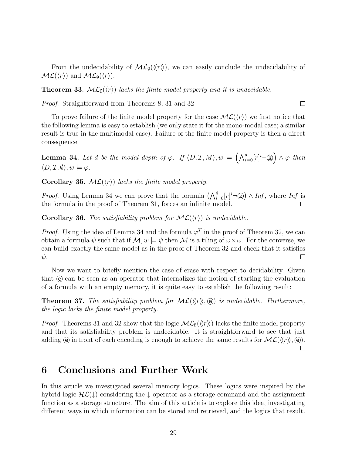From the undecidability of  $ML_{\emptyset}(\langle\!\langle r \rangle\!\rangle)$ , we can easily conclude the undecidability of  $\mathcal{ML}(\langle r \rangle)$  and  $\mathcal{ML}_{\emptyset}(\langle r \rangle)$ .

**Theorem 33.**  $\mathcal{ML}_{\emptyset}(\langle r \rangle)$  lacks the finite model property and it is undecidable.

Proof. Straightforward from Theorems 8, 31 and 32

To prove failure of the finite model property for the case  $\mathcal{ML}(\langle r \rangle)$  we first notice that the following lemma is easy to establish (we only state it for the mono-modal case; a similar result is true in the multimodal case). Failure of the finite model property is then a direct consequence.

**Lemma 34.** Let d be the modal depth of  $\varphi$ . If  $\langle D, \mathcal{I}, M \rangle$ ,  $w \models (\bigwedge_{i=0}^d [r]^i \neg \mathbb{R}) \land \varphi$  then  $\langle D, \mathcal{I}, \emptyset \rangle, w \models \varphi.$ 

Corollary 35.  $ML(\langle r \rangle)$  lacks the finite model property.

*Proof.* Using Lemma 34 we can prove that the formula  $(\bigwedge_{i=0}^{4}[r]^{i}\neg \mathbb{R}) \wedge Inf$ , where Inf is the formula in the proof of Theorem 31, forces an infinite model.

**Corollary 36.** The satisfiability problem for  $ML(\langle r \rangle)$  is undecidable.

*Proof.* Using the idea of Lemma 34 and the formula  $\varphi^T$  in the proof of Theorem 32, we can obtain a formula  $\psi$  such that if  $\mathcal{M}, w \models \psi$  then M is a tiling of  $\omega \times \omega$ . For the converse, we can build exactly the same model as in the proof of Theorem 32 and check that it satisfies  $\psi$ .  $\Box$ 

Now we want to briefly mention the case of erase with respect to decidability. Given that  $\Theta$  can be seen as an operator that internalizes the notion of starting the evaluation of a formula with an empty memory, it is quite easy to establish the following result:

**Theorem 37.** The satisfiability problem for  $ML(\langle\langle r \rangle\rangle, \mathbf{\Theta})$  is undecidable. Furthermore, the logic lacks the finite model property.

*Proof.* Theorems 31 and 32 show that the logic  $ML_{\emptyset}(\langle\langle r \rangle\rangle)$  lacks the finite model property and that its satisfiability problem is undecidable. It is straightforward to see that just adding  $\Theta$  in front of each encoding is enough to achieve the same results for  $ML(\langle r \rangle, \Theta)$ .  $\Box$ 

# 6 Conclusions and Further Work

In this article we investigated several memory logics. These logics were inspired by the hybrid logic  $H\mathcal{L}(\downarrow)$  considering the  $\downarrow$  operator as a storage command and the assignment function as a storage structure. The aim of this article is to explore this idea, investigating different ways in which information can be stored and retrieved, and the logics that result.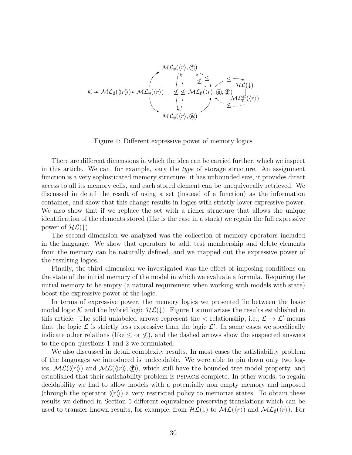$$
\mathcal{ML}_{\emptyset}(\langle r \rangle, \text{E})
$$
\n
$$
\mathcal{KL}_{\emptyset}(\langle r \rangle, \text{E})
$$
\n
$$
\mathcal{KL}_{\emptyset}(\langle r \rangle) \cdot \mathcal{ML}_{\emptyset}(\langle r \rangle) \leq \leq \mathcal{ML}_{\emptyset}(\langle r \rangle, \text{E}) \cdot \mathcal{ML}_{\emptyset}^{\text{st}}(\langle r \rangle)
$$
\n
$$
\downarrow \qquad \qquad \downarrow \qquad \qquad \downarrow \qquad \qquad \mathcal{ML}_{\emptyset}(\langle r \rangle, \text{E})
$$
\n
$$
\mathcal{ML}_{\emptyset}(\langle r \rangle, \text{E})
$$

Figure 1: Different expressive power of memory logics

There are different dimensions in which the idea can be carried further, which we inspect in this article. We can, for example, vary the type of storage structure. An assignment function is a very sophisticated memory structure: it has unbounded size, it provides direct access to all its memory cells, and each stored element can be unequivocally retrieved. We discussed in detail the result of using a set (instead of a function) as the information container, and show that this change results in logics with strictly lower expressive power. We also show that if we replace the set with a richer structure that allows the unique identification of the elements stored (like is the case in a stack) we regain the full expressive power of  $H\mathcal{L}(\downarrow)$ .

The second dimension we analyzed was the collection of memory operators included in the language. We show that operators to add, test membership and delete elements from the memory can be naturally defined, and we mapped out the expressive power of the resulting logics.

Finally, the third dimension we investigated was the effect of imposing conditions on the state of the initial memory of the model in which we evaluate a formula. Requiring the initial memory to be empty (a natural requirement when working with models with state) boost the expressive power of the logic.

In terms of expressive power, the memory logics we presented lie between the basic modal logic K and the hybrid logic  $H\mathcal{L}(\downarrow)$ . Figure 1 summarizes the results established in this article. The solid unlabeled arrows represent the  $\lt$  relationship, i.e.,  $\mathcal{L} \to \mathcal{L}'$  means that the logic  $\mathcal L$  is strictly less expressive than the logic  $\mathcal L'$ . In some cases we specifically indicate other relations (like  $\leq$  or  $\leq$ ), and the dashed arrows show the suspected answers to the open questions 1 and 2 we formulated.

We also discussed in detail complexity results. In most cases the satisfiability problem of the languages we introduced is undecidable. We were able to pin down only two logics,  $ML(\langle r \rangle)$  and  $ML(\langle r \rangle, \text{\textcircled{f}})$ , which still have the bounded tree model property, and established that their satisfiability problem is pspace-complete. In other words, to regain decidability we had to allow models with a potentially non empty memory and imposed (through the operator  $\langle r \rangle$ ) a very restricted policy to memorize states. To obtain these results we defined in Section 5 different equivalence preserving translations which can be used to transfer known results, for example, from  $H\mathcal{L}(\downarrow)$  to  $\mathcal{ML}(\langle r \rangle)$  and  $\mathcal{ML}_{\emptyset}(\langle r \rangle)$ . For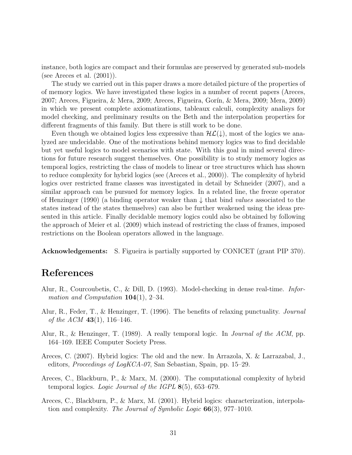instance, both logics are compact and their formulas are preserved by generated sub-models (see Areces et al. (2001)).

The study we carried out in this paper draws a more detailed picture of the properties of of memory logics. We have investigated these logics in a number of recent papers (Areces, 2007; Areces, Figueira, & Mera, 2009; Areces, Figueira, Gorín, & Mera, 2009; Mera, 2009) in which we present complete axiomatizations, tableaux calculi, complexity analisys for model checking, and preliminary results on the Beth and the interpolation properties for different fragments of this family. But there is still work to be done.

Even though we obtained logics less expressive than  $H\mathcal{L}(\downarrow)$ , most of the logics we analyzed are undecidable. One of the motivations behind memory logics was to find decidable but yet useful logics to model scenarios with state. With this goal in mind several directions for future research suggest themselves. One possibility is to study memory logics as temporal logics, restricting the class of models to linear or tree structures which has shown to reduce complexity for hybrid logics (see (Areces et al., 2000)). The complexity of hybrid logics over restricted frame classes was investigated in detail by Schneider (2007), and a similar approach can be pursued for memory logics. In a related line, the freeze operator of Henzinger (1990) (a binding operator weaker than  $\downarrow$  that bind values associated to the states instead of the states themselves) can also be further weakened using the ideas presented in this article. Finally decidable memory logics could also be obtained by following the approach of Meier et al. (2009) which instead of restricting the class of frames, imposed restrictions on the Boolean operators allowed in the language.

Acknowledgements: S. Figueira is partially supported by CONICET (grant PIP 370).

# References

- Alur, R., Courcoubetis, C., & Dill, D. (1993). Model-checking in dense real-time. Information and Computation  $104(1)$ , 2–34.
- Alur, R., Feder, T., & Henzinger, T. (1996). The benefits of relaxing punctuality. Journal of the ACM  $43(1)$ , 116-146.
- Alur, R., & Henzinger, T. (1989). A really temporal logic. In Journal of the ACM, pp. 164–169. IEEE Computer Society Press.
- Areces, C. (2007). Hybrid logics: The old and the new. In Arrazola, X. & Larrazabal, J., editors, Proceedings of LogKCA-07, San Sebastian, Spain, pp. 15–29.
- Areces, C., Blackburn, P., & Marx, M. (2000). The computational complexity of hybrid temporal logics. Logic Journal of the IGPL  $8(5)$ , 653–679.
- Areces, C., Blackburn, P., & Marx, M. (2001). Hybrid logics: characterization, interpolation and complexity. The Journal of Symbolic Logic 66(3), 977–1010.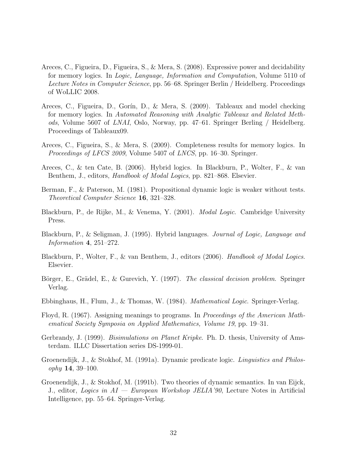- Areces, C., Figueira, D., Figueira, S., & Mera, S. (2008). Expressive power and decidability for memory logics. In Logic, Language, Information and Computation, Volume 5110 of Lecture Notes in Computer Science, pp. 56–68. Springer Berlin / Heidelberg. Proceedings of WoLLIC 2008.
- Areces, C., Figueira, D., Gorín, D., & Mera, S. (2009). Tableaux and model checking for memory logics. In Automated Reasoning with Analytic Tableaux and Related Methods, Volume 5607 of LNAI, Oslo, Norway, pp. 47–61. Springer Berling / Heidelberg. Proceedings of Tableaux09.
- Areces, C., Figueira, S., & Mera, S. (2009). Completeness results for memory logics. In Proceedings of LFCS 2009, Volume 5407 of LNCS, pp. 16–30. Springer.
- Areces, C., & ten Cate, B. (2006). Hybrid logics. In Blackburn, P., Wolter, F., & van Benthem, J., editors, *Handbook of Modal Logics*, pp. 821–868. Elsevier.
- Berman, F., & Paterson, M. (1981). Propositional dynamic logic is weaker without tests. Theoretical Computer Science 16, 321–328.
- Blackburn, P., de Rijke, M., & Venema, Y. (2001). Modal Logic. Cambridge University Press.
- Blackburn, P., & Seligman, J. (1995). Hybrid languages. Journal of Logic, Language and Information 4, 251–272.
- Blackburn, P., Wolter, F., & van Benthem, J., editors (2006). Handbook of Modal Logics. Elsevier.
- Börger, E., Grädel, E., & Gurevich, Y. (1997). The classical decision problem. Springer Verlag.
- Ebbinghaus, H., Flum, J., & Thomas, W. (1984). Mathematical Logic. Springer-Verlag.
- Floyd, R. (1967). Assigning meanings to programs. In Proceedings of the American Mathematical Society Symposia on Applied Mathematics, Volume 19, pp. 19–31.
- Gerbrandy, J. (1999). *Bisimulations on Planet Kripke*. Ph. D. thesis, University of Amsterdam. ILLC Dissertation series DS-1999-01.
- Groenendijk, J., & Stokhof, M. (1991a). Dynamic predicate logic. Linguistics and Philos $ophy$  14, 39–100.
- Groenendijk, J., & Stokhof, M. (1991b). Two theories of dynamic semantics. In van Eijck, J., editor, Logics in AI — European Workshop JELIA'90, Lecture Notes in Artificial Intelligence, pp. 55–64. Springer-Verlag.